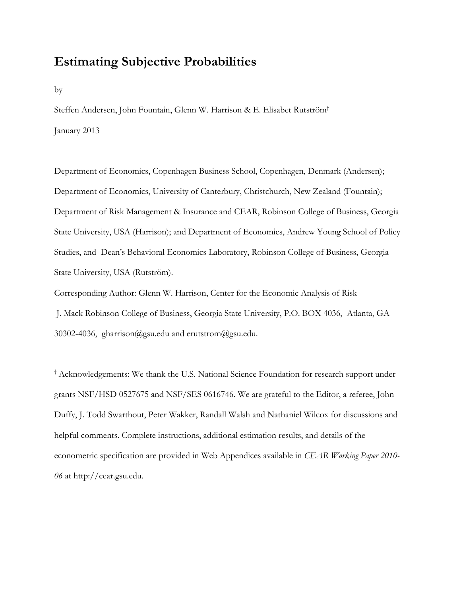# **Estimating Subjective Probabilities**

by

Steffen Andersen, John Fountain, Glenn W. Harrison & E. Elisabet Rutström† January 2013

Department of Economics, Copenhagen Business School, Copenhagen, Denmark (Andersen); Department of Economics, University of Canterbury, Christchurch, New Zealand (Fountain); Department of Risk Management & Insurance and CEAR, Robinson College of Business, Georgia State University, USA (Harrison); and Department of Economics, Andrew Young School of Policy Studies, and Dean's Behavioral Economics Laboratory, Robinson College of Business, Georgia State University, USA (Rutström).

Corresponding Author: Glenn W. Harrison, Center for the Economic Analysis of Risk J. Mack Robinson College of Business, Georgia State University, P.O. BOX 4036, Atlanta, GA 30302-4036, gharrison@gsu.edu and erutstrom@gsu.edu.

† Acknowledgements: We thank the U.S. National Science Foundation for research support under grants NSF/HSD 0527675 and NSF/SES 0616746. We are grateful to the Editor, a referee, John Duffy, J. Todd Swarthout, Peter Wakker, Randall Walsh and Nathaniel Wilcox for discussions and helpful comments. Complete instructions, additional estimation results, and details of the econometric specification are provided in Web Appendices available in *CEAR Working Paper 2010- 06* at http://cear.gsu.edu.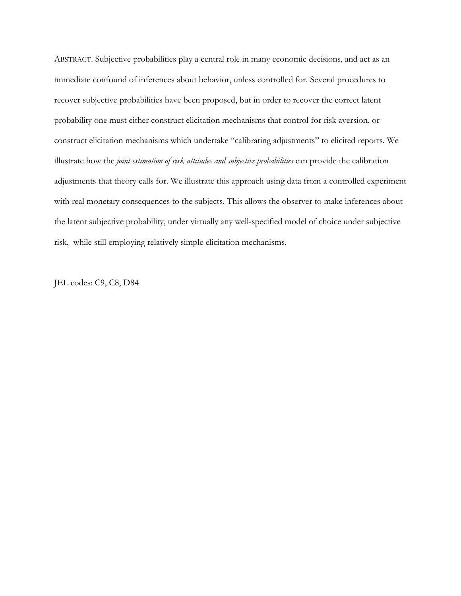ABSTRACT. Subjective probabilities play a central role in many economic decisions, and act as an immediate confound of inferences about behavior, unless controlled for. Several procedures to recover subjective probabilities have been proposed, but in order to recover the correct latent probability one must either construct elicitation mechanisms that control for risk aversion, or construct elicitation mechanisms which undertake "calibrating adjustments" to elicited reports. We illustrate how the *joint estimation of risk attitudes and subjective probabilities* can provide the calibration adjustments that theory calls for. We illustrate this approach using data from a controlled experiment with real monetary consequences to the subjects. This allows the observer to make inferences about the latent subjective probability, under virtually any well-specified model of choice under subjective risk, while still employing relatively simple elicitation mechanisms.

JEL codes: C9, C8, D84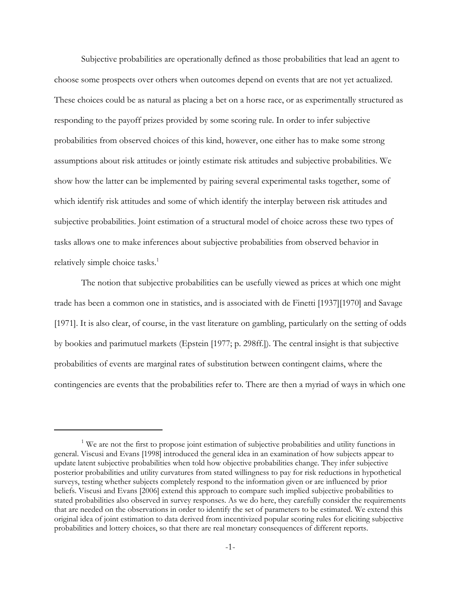Subjective probabilities are operationally defined as those probabilities that lead an agent to choose some prospects over others when outcomes depend on events that are not yet actualized. These choices could be as natural as placing a bet on a horse race, or as experimentally structured as responding to the payoff prizes provided by some scoring rule. In order to infer subjective probabilities from observed choices of this kind, however, one either has to make some strong assumptions about risk attitudes or jointly estimate risk attitudes and subjective probabilities. We show how the latter can be implemented by pairing several experimental tasks together, some of which identify risk attitudes and some of which identify the interplay between risk attitudes and subjective probabilities. Joint estimation of a structural model of choice across these two types of tasks allows one to make inferences about subjective probabilities from observed behavior in relatively simple choice tasks.<sup>1</sup>

The notion that subjective probabilities can be usefully viewed as prices at which one might trade has been a common one in statistics, and is associated with de Finetti [1937][1970] and Savage [1971]. It is also clear, of course, in the vast literature on gambling, particularly on the setting of odds by bookies and parimutuel markets (Epstein [1977; p. 298ff.]). The central insight is that subjective probabilities of events are marginal rates of substitution between contingent claims, where the contingencies are events that the probabilities refer to. There are then a myriad of ways in which one

<sup>&</sup>lt;sup>1</sup> We are not the first to propose joint estimation of subjective probabilities and utility functions in general. Viscusi and Evans [1998] introduced the general idea in an examination of how subjects appear to update latent subjective probabilities when told how objective probabilities change. They infer subjective posterior probabilities and utility curvatures from stated willingness to pay for risk reductions in hypothetical surveys, testing whether subjects completely respond to the information given or are influenced by prior beliefs. Viscusi and Evans [2006] extend this approach to compare such implied subjective probabilities to stated probabilities also observed in survey responses. As we do here, they carefully consider the requirements that are needed on the observations in order to identify the set of parameters to be estimated. We extend this original idea of joint estimation to data derived from incentivized popular scoring rules for eliciting subjective probabilities and lottery choices, so that there are real monetary consequences of different reports.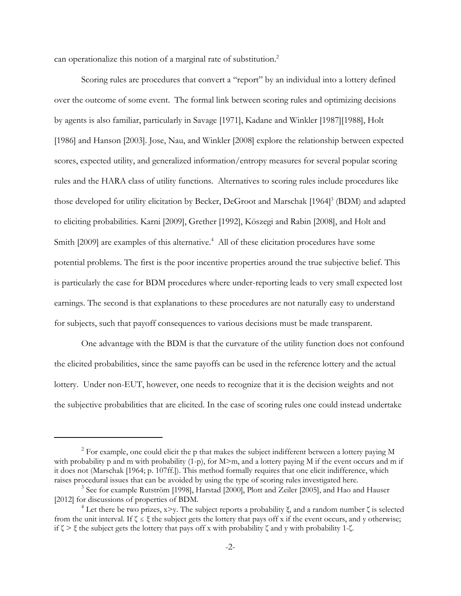can operationalize this notion of a marginal rate of substitution.<sup>2</sup>

Scoring rules are procedures that convert a "report" by an individual into a lottery defined over the outcome of some event. The formal link between scoring rules and optimizing decisions by agents is also familiar, particularly in Savage [1971], Kadane and Winkler [1987][1988], Holt [1986] and Hanson [2003]. Jose, Nau, and Winkler [2008] explore the relationship between expected scores, expected utility, and generalized information/entropy measures for several popular scoring rules and the HARA class of utility functions. Alternatives to scoring rules include procedures like those developed for utility elicitation by Becker, DeGroot and Marschak [1964]<sup>3</sup> (BDM) and adapted to eliciting probabilities. Karni [2009], Grether [1992], Köszegi and Rabin [2008], and Holt and Smith [2009] are examples of this alternative.<sup>4</sup> All of these elicitation procedures have some potential problems. The first is the poor incentive properties around the true subjective belief. This is particularly the case for BDM procedures where under-reporting leads to very small expected lost earnings. The second is that explanations to these procedures are not naturally easy to understand for subjects, such that payoff consequences to various decisions must be made transparent.

One advantage with the BDM is that the curvature of the utility function does not confound the elicited probabilities, since the same payoffs can be used in the reference lottery and the actual lottery. Under non-EUT, however, one needs to recognize that it is the decision weights and not the subjective probabilities that are elicited. In the case of scoring rules one could instead undertake

 $2$  For example, one could elicit the p that makes the subject indifferent between a lottery paying M with probability p and m with probability  $(1-p)$ , for M $\geq$ m, and a lottery paying M if the event occurs and m if it does not (Marschak [1964; p. 107ff.]). This method formally requires that one elicit indifference, which raises procedural issues that can be avoided by using the type of scoring rules investigated here.

<sup>&</sup>lt;sup>3</sup> See for example Rutström [1998], Harstad [2000], Plott and Zeiler [2005], and Hao and Hauser [2012] for discussions of properties of BDM.

<sup>&</sup>lt;sup>4</sup> Let there be two prizes,  $x \ge y$ . The subject reports a probability  $\xi$ , and a random number  $\zeta$  is selected from the unit interval. If  $\zeta \leq \xi$  the subject gets the lottery that pays off x if the event occurs, and y otherwise; if  $\zeta > \xi$  the subject gets the lottery that pays off x with probability  $\zeta$  and y with probability 1- $\zeta$ .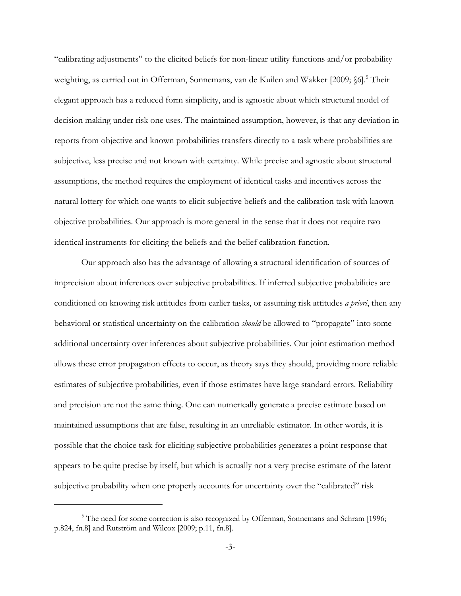"calibrating adjustments" to the elicited beliefs for non-linear utility functions and/or probability weighting, as carried out in Offerman, Sonnemans, van de Kuilen and Wakker [2009; §6].<sup>5</sup> Their elegant approach has a reduced form simplicity, and is agnostic about which structural model of decision making under risk one uses. The maintained assumption, however, is that any deviation in reports from objective and known probabilities transfers directly to a task where probabilities are subjective, less precise and not known with certainty. While precise and agnostic about structural assumptions, the method requires the employment of identical tasks and incentives across the natural lottery for which one wants to elicit subjective beliefs and the calibration task with known objective probabilities. Our approach is more general in the sense that it does not require two identical instruments for eliciting the beliefs and the belief calibration function.

Our approach also has the advantage of allowing a structural identification of sources of imprecision about inferences over subjective probabilities. If inferred subjective probabilities are conditioned on knowing risk attitudes from earlier tasks, or assuming risk attitudes *a priori*, then any behavioral or statistical uncertainty on the calibration *should* be allowed to "propagate" into some additional uncertainty over inferences about subjective probabilities. Our joint estimation method allows these error propagation effects to occur, as theory says they should, providing more reliable estimates of subjective probabilities, even if those estimates have large standard errors. Reliability and precision are not the same thing. One can numerically generate a precise estimate based on maintained assumptions that are false, resulting in an unreliable estimator. In other words, it is possible that the choice task for eliciting subjective probabilities generates a point response that appears to be quite precise by itself, but which is actually not a very precise estimate of the latent subjective probability when one properly accounts for uncertainty over the "calibrated" risk

<sup>&</sup>lt;sup>5</sup> The need for some correction is also recognized by Offerman, Sonnemans and Schram [1996; p.824, fn.8] and Rutström and Wilcox [2009; p.11, fn.8].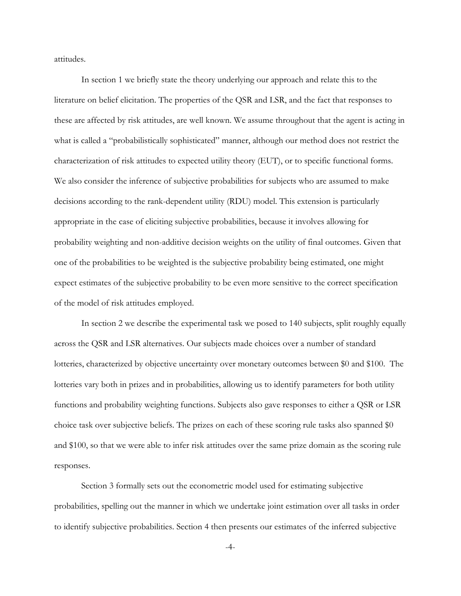attitudes.

In section 1 we briefly state the theory underlying our approach and relate this to the literature on belief elicitation. The properties of the QSR and LSR, and the fact that responses to these are affected by risk attitudes, are well known. We assume throughout that the agent is acting in what is called a "probabilistically sophisticated" manner, although our method does not restrict the characterization of risk attitudes to expected utility theory (EUT), or to specific functional forms. We also consider the inference of subjective probabilities for subjects who are assumed to make decisions according to the rank-dependent utility (RDU) model. This extension is particularly appropriate in the case of eliciting subjective probabilities, because it involves allowing for probability weighting and non-additive decision weights on the utility of final outcomes. Given that one of the probabilities to be weighted is the subjective probability being estimated, one might expect estimates of the subjective probability to be even more sensitive to the correct specification of the model of risk attitudes employed.

In section 2 we describe the experimental task we posed to 140 subjects, split roughly equally across the QSR and LSR alternatives. Our subjects made choices over a number of standard lotteries, characterized by objective uncertainty over monetary outcomes between \$0 and \$100. The lotteries vary both in prizes and in probabilities, allowing us to identify parameters for both utility functions and probability weighting functions. Subjects also gave responses to either a QSR or LSR choice task over subjective beliefs. The prizes on each of these scoring rule tasks also spanned \$0 and \$100, so that we were able to infer risk attitudes over the same prize domain as the scoring rule responses.

Section 3 formally sets out the econometric model used for estimating subjective probabilities, spelling out the manner in which we undertake joint estimation over all tasks in order to identify subjective probabilities. Section 4 then presents our estimates of the inferred subjective

-4-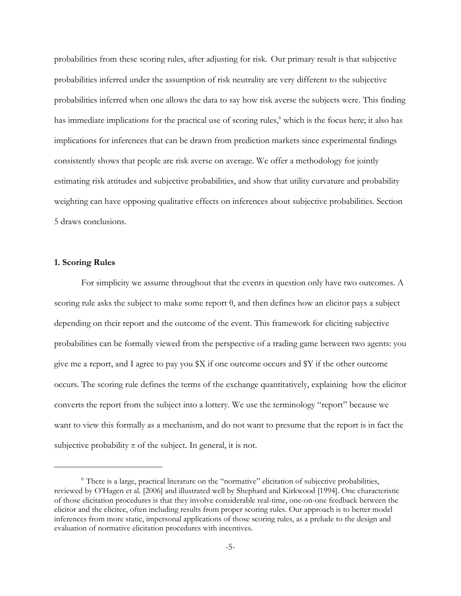probabilities from these scoring rules, after adjusting for risk. Our primary result is that subjective probabilities inferred under the assumption of risk neutrality are very different to the subjective probabilities inferred when one allows the data to say how risk averse the subjects were. This finding has immediate implications for the practical use of scoring rules,<sup>6</sup> which is the focus here; it also has implications for inferences that can be drawn from prediction markets since experimental findings consistently shows that people are risk averse on average. We offer a methodology for jointly estimating risk attitudes and subjective probabilities, and show that utility curvature and probability weighting can have opposing qualitative effects on inferences about subjective probabilities. Section 5 draws conclusions.

### **1. Scoring Rules**

For simplicity we assume throughout that the events in question only have two outcomes. A scoring rule asks the subject to make some report θ, and then defines how an elicitor pays a subject depending on their report and the outcome of the event. This framework for eliciting subjective probabilities can be formally viewed from the perspective of a trading game between two agents: you give me a report, and I agree to pay you \$X if one outcome occurs and \$Y if the other outcome occurs. The scoring rule defines the terms of the exchange quantitatively, explaining how the elicitor converts the report from the subject into a lottery. We use the terminology "report" because we want to view this formally as a mechanism, and do not want to presume that the report is in fact the subjective probability  $\pi$  of the subject. In general, it is not.

<sup>6</sup> There is a large, practical literature on the "normative" elicitation of subjective probabilities, reviewed by O'Hagen et al. [2006] and illustrated well by Shephard and Kirkwood [1994]. One characteristic of those elicitation procedures is that they involve considerable real-time, one-on-one feedback between the elicitor and the elicitee, often including results from proper scoring rules. Our approach is to better model inferences from more static, impersonal applications of those scoring rules, as a prelude to the design and evaluation of normative elicitation procedures with incentives.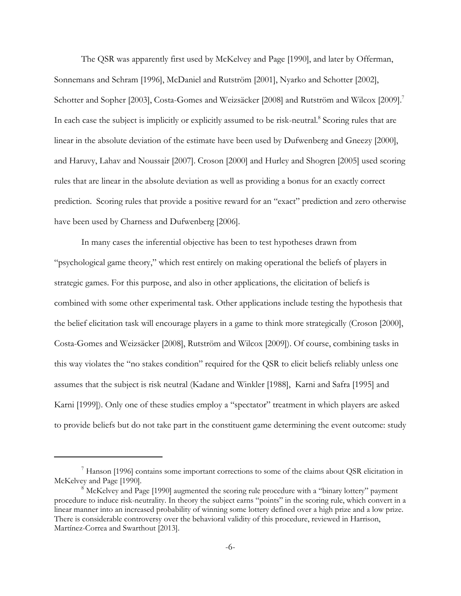The QSR was apparently first used by McKelvey and Page [1990], and later by Offerman, Sonnemans and Schram [1996], McDaniel and Rutström [2001], Nyarko and Schotter [2002], Schotter and Sopher [2003], Costa-Gomes and Weizsäcker [2008] and Rutström and Wilcox [2009].<sup>7</sup> In each case the subject is implicitly or explicitly assumed to be risk-neutral.<sup>8</sup> Scoring rules that are linear in the absolute deviation of the estimate have been used by Dufwenberg and Gneezy [2000], and Haruvy, Lahav and Noussair [2007]. Croson [2000] and Hurley and Shogren [2005] used scoring rules that are linear in the absolute deviation as well as providing a bonus for an exactly correct prediction. Scoring rules that provide a positive reward for an "exact" prediction and zero otherwise have been used by Charness and Dufwenberg [2006].

In many cases the inferential objective has been to test hypotheses drawn from "psychological game theory," which rest entirely on making operational the beliefs of players in strategic games. For this purpose, and also in other applications, the elicitation of beliefs is combined with some other experimental task. Other applications include testing the hypothesis that the belief elicitation task will encourage players in a game to think more strategically (Croson [2000], Costa-Gomes and Weizsäcker [2008], Rutström and Wilcox [2009]). Of course, combining tasks in this way violates the "no stakes condition" required for the QSR to elicit beliefs reliably unless one assumes that the subject is risk neutral (Kadane and Winkler [1988], Karni and Safra [1995] and Karni [1999]). Only one of these studies employ a "spectator" treatment in which players are asked to provide beliefs but do not take part in the constituent game determining the event outcome: study

<sup>7</sup> Hanson [1996] contains some important corrections to some of the claims about QSR elicitation in McKelvey and Page [1990].

<sup>&</sup>lt;sup>8</sup> McKelvey and Page [1990] augmented the scoring rule procedure with a "binary lottery" payment procedure to induce risk-neutrality. In theory the subject earns "points" in the scoring rule, which convert in a linear manner into an increased probability of winning some lottery defined over a high prize and a low prize. There is considerable controversy over the behavioral validity of this procedure, reviewed in Harrison, Martínez-Correa and Swarthout [2013].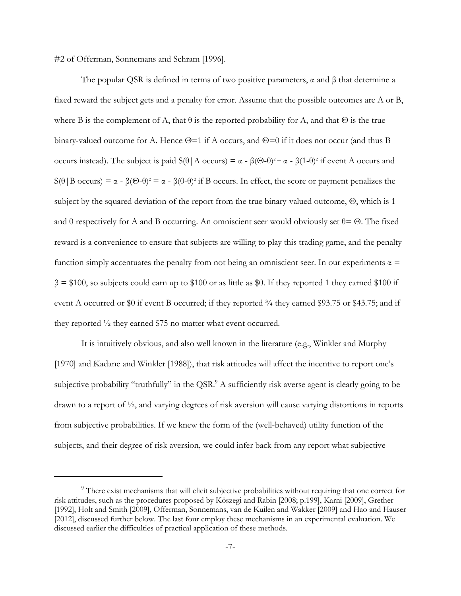#2 of Offerman, Sonnemans and Schram [1996].

The popular QSR is defined in terms of two positive parameters,  $\alpha$  and  $\beta$  that determine a fixed reward the subject gets and a penalty for error. Assume that the possible outcomes are A or B, where B is the complement of A, that  $\theta$  is the reported probability for A, and that  $\Theta$  is the true binary-valued outcome for A. Hence  $\Theta$ =1 if A occurs, and  $\Theta$ =0 if it does not occur (and thus B occurs instead). The subject is paid  $S(\theta | A \text{ occurs}) = \alpha - \beta(\Theta - \theta)^2 = \alpha - \beta(1 - \theta)^2$  if event A occurs and S( $\theta$ |B occurs) = α - β( $\Theta$ - $\theta$ )<sup>2</sup> = α - β(0- $\theta$ )<sup>2</sup> if B occurs. In effect, the score or payment penalizes the subject by the squared deviation of the report from the true binary-valued outcome, Θ, which is 1 and 0 respectively for A and B occurring. An omniscient seer would obviously set  $\theta = \Theta$ . The fixed reward is a convenience to ensure that subjects are willing to play this trading game, and the penalty function simply accentuates the penalty from not being an omniscient seer. In our experiments  $\alpha$  =  $β = $100$ , so subjects could earn up to \$100 or as little as \$0. If they reported 1 they earned \$100 if event A occurred or \$0 if event B occurred; if they reported  $\frac{3}{4}$  they earned \$93.75 or \$43.75; and if they reported ½ they earned \$75 no matter what event occurred.

It is intuitively obvious, and also well known in the literature (e.g., Winkler and Murphy [1970] and Kadane and Winkler [1988]), that risk attitudes will affect the incentive to report one's subjective probability "truthfully" in the QSR.<sup>9</sup> A sufficiently risk averse agent is clearly going to be drawn to a report of ½, and varying degrees of risk aversion will cause varying distortions in reports from subjective probabilities. If we knew the form of the (well-behaved) utility function of the subjects, and their degree of risk aversion, we could infer back from any report what subjective

<sup>&</sup>lt;sup>9</sup> There exist mechanisms that will elicit subjective probabilities without requiring that one correct for risk attitudes, such as the procedures proposed by Köszegi and Rabin [2008; p.199], Karni [2009], Grether [1992], Holt and Smith [2009], Offerman, Sonnemans, van de Kuilen and Wakker [2009] and Hao and Hauser [2012], discussed further below. The last four employ these mechanisms in an experimental evaluation. We discussed earlier the difficulties of practical application of these methods.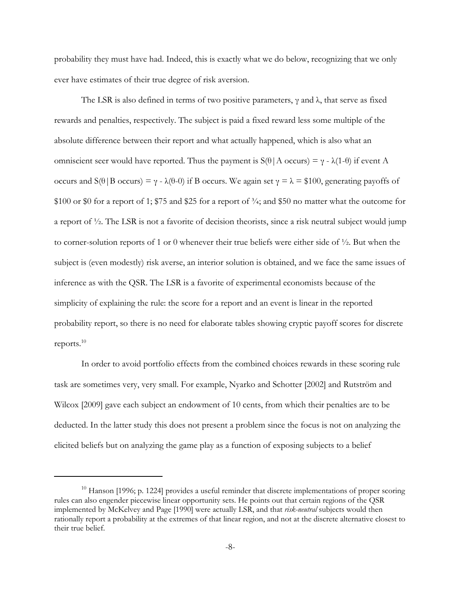probability they must have had. Indeed, this is exactly what we do below, recognizing that we only ever have estimates of their true degree of risk aversion.

The LSR is also defined in terms of two positive parameters,  $\gamma$  and  $\lambda$ , that serve as fixed rewards and penalties, respectively. The subject is paid a fixed reward less some multiple of the absolute difference between their report and what actually happened, which is also what an omniscient seer would have reported. Thus the payment is  $S(\theta | A \text{ occurs}) = \gamma - \lambda(1-\theta)$  if event A occurs and S(θ|B occurs) = γ - λ(θ-0) if B occurs. We again set γ = λ = \$100, generating payoffs of \$100 or \$0 for a report of 1; \$75 and \$25 for a report of  $\frac{3}{4}$ ; and \$50 no matter what the outcome for a report of ½. The LSR is not a favorite of decision theorists, since a risk neutral subject would jump to corner-solution reports of 1 or 0 whenever their true beliefs were either side of  $\frac{1}{2}$ . But when the subject is (even modestly) risk averse, an interior solution is obtained, and we face the same issues of inference as with the QSR. The LSR is a favorite of experimental economists because of the simplicity of explaining the rule: the score for a report and an event is linear in the reported probability report, so there is no need for elaborate tables showing cryptic payoff scores for discrete reports.10

In order to avoid portfolio effects from the combined choices rewards in these scoring rule task are sometimes very, very small. For example, Nyarko and Schotter [2002] and Rutström and Wilcox [2009] gave each subject an endowment of 10 cents, from which their penalties are to be deducted. In the latter study this does not present a problem since the focus is not on analyzing the elicited beliefs but on analyzing the game play as a function of exposing subjects to a belief

 $10$  Hanson [1996; p. 1224] provides a useful reminder that discrete implementations of proper scoring rules can also engender piecewise linear opportunity sets. He points out that certain regions of the QSR implemented by McKelvey and Page [1990] were actually LSR, and that *risk-neutral* subjects would then rationally report a probability at the extremes of that linear region, and not at the discrete alternative closest to their true belief.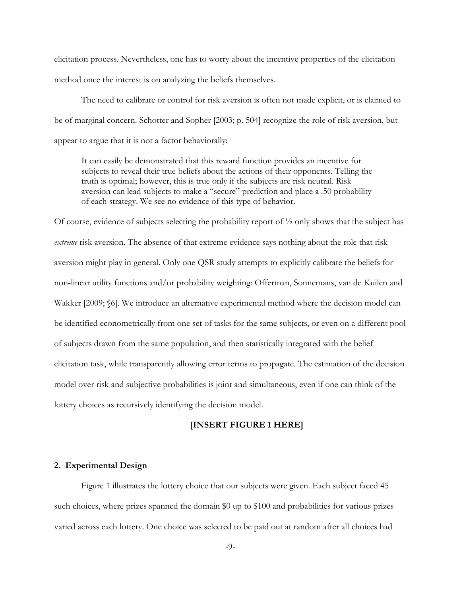elicitation process. Nevertheless, one has to worry about the incentive properties of the elicitation method once the interest is on analyzing the beliefs themselves.

The need to calibrate or control for risk aversion is often not made explicit, or is claimed to be of marginal concern. Schotter and Sopher [2003; p. 504] recognize the role of risk aversion, but appear to argue that it is not a factor behaviorally:

It can easily be demonstrated that this reward function provides an incentive for subjects to reveal their true beliefs about the actions of their opponents. Telling the truth is optimal; however, this is true only if the subjects are risk neutral. Risk aversion can lead subjects to make a "secure" prediction and place a .50 probability of each strategy. We see no evidence of this type of behavior.

Of course, evidence of subjects selecting the probability report of  $\frac{1}{2}$  only shows that the subject has *extreme* risk aversion. The absence of that extreme evidence says nothing about the role that risk aversion might play in general. Only one QSR study attempts to explicitly calibrate the beliefs for non-linear utility functions and/or probability weighting: Offerman, Sonnemans, van de Kuilen and Wakker [2009; §6]. We introduce an alternative experimental method where the decision model can be identified econometrically from one set of tasks for the same subjects, or even on a different pool of subjects drawn from the same population, and then statistically integrated with the belief elicitation task, while transparently allowing error terms to propagate. The estimation of the decision model over risk and subjective probabilities is joint and simultaneous, even if one can think of the lottery choices as recursively identifying the decision model.

#### **[INSERT FIGURE 1 HERE]**

## **2. Experimental Design**

Figure 1 illustrates the lottery choice that our subjects were given. Each subject faced 45 such choices, where prizes spanned the domain \$0 up to \$100 and probabilities for various prizes varied across each lottery. One choice was selected to be paid out at random after all choices had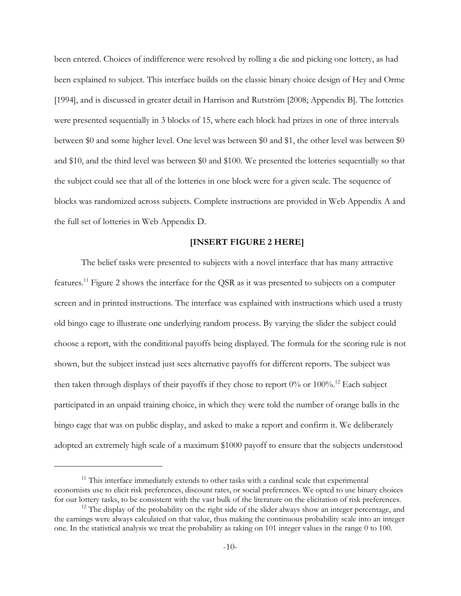been entered. Choices of indifference were resolved by rolling a die and picking one lottery, as had been explained to subject. This interface builds on the classic binary choice design of Hey and Orme [1994], and is discussed in greater detail in Harrison and Rutström [2008; Appendix B]. The lotteries were presented sequentially in 3 blocks of 15, where each block had prizes in one of three intervals between \$0 and some higher level. One level was between \$0 and \$1, the other level was between \$0 and \$10, and the third level was between \$0 and \$100. We presented the lotteries sequentially so that the subject could see that all of the lotteries in one block were for a given scale. The sequence of blocks was randomized across subjects. Complete instructions are provided in Web Appendix A and the full set of lotteries in Web Appendix D.

### **[INSERT FIGURE 2 HERE]**

The belief tasks were presented to subjects with a novel interface that has many attractive features.11 Figure 2 shows the interface for the QSR as it was presented to subjects on a computer screen and in printed instructions. The interface was explained with instructions which used a trusty old bingo cage to illustrate one underlying random process. By varying the slider the subject could choose a report, with the conditional payoffs being displayed. The formula for the scoring rule is not shown, but the subject instead just sees alternative payoffs for different reports. The subject was then taken through displays of their payoffs if they chose to report  $0\%$  or  $100\%$ .<sup>12</sup> Each subject participated in an unpaid training choice, in which they were told the number of orange balls in the bingo cage that was on public display, and asked to make a report and confirm it. We deliberately adopted an extremely high scale of a maximum \$1000 payoff to ensure that the subjects understood

 $11$  This interface immediately extends to other tasks with a cardinal scale that experimental economists use to elicit risk preferences, discount rates, or social preferences. We opted to use binary choices for our lottery tasks, to be consistent with the vast bulk of the literature on the elicitation of risk preferences.

 $12$  The display of the probability on the right side of the slider always show an integer percentage, and the earnings were always calculated on that value, thus making the continuous probability scale into an integer one. In the statistical analysis we treat the probability as taking on 101 integer values in the range 0 to 100.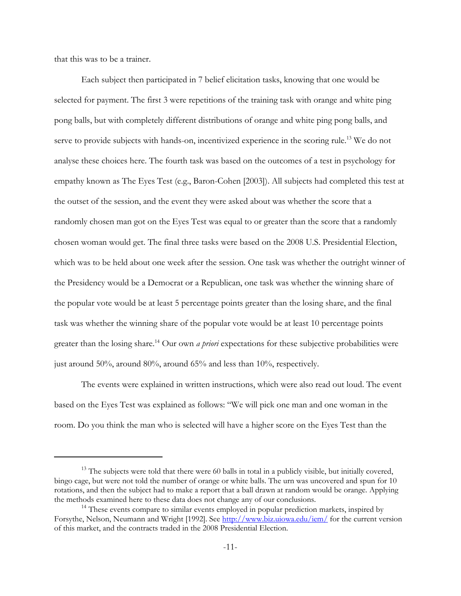that this was to be a trainer.

Each subject then participated in 7 belief elicitation tasks, knowing that one would be selected for payment. The first 3 were repetitions of the training task with orange and white ping pong balls, but with completely different distributions of orange and white ping pong balls, and serve to provide subjects with hands-on, incentivized experience in the scoring rule.<sup>13</sup> We do not analyse these choices here. The fourth task was based on the outcomes of a test in psychology for empathy known as The Eyes Test (e.g., Baron-Cohen [2003]). All subjects had completed this test at the outset of the session, and the event they were asked about was whether the score that a randomly chosen man got on the Eyes Test was equal to or greater than the score that a randomly chosen woman would get. The final three tasks were based on the 2008 U.S. Presidential Election, which was to be held about one week after the session. One task was whether the outright winner of the Presidency would be a Democrat or a Republican, one task was whether the winning share of the popular vote would be at least 5 percentage points greater than the losing share, and the final task was whether the winning share of the popular vote would be at least 10 percentage points greater than the losing share.14 Our own *a priori* expectations for these subjective probabilities were just around 50%, around 80%, around 65% and less than 10%, respectively.

The events were explained in written instructions, which were also read out loud. The event based on the Eyes Test was explained as follows: "We will pick one man and one woman in the room. Do you think the man who is selected will have a higher score on the Eyes Test than the

<sup>&</sup>lt;sup>13</sup> The subjects were told that there were 60 balls in total in a publicly visible, but initially covered, bingo cage, but were not told the number of orange or white balls. The urn was uncovered and spun for 10 rotations, and then the subject had to make a report that a ball drawn at random would be orange. Applying the methods examined here to these data does not change any of our conclusions.

<sup>&</sup>lt;sup>14</sup> These events compare to similar events employed in popular prediction markets, inspired by Forsythe, Nelson, Neumann and Wright [1992]. See http://www.biz.uiowa.edu/iem/ for the current version of this market, and the contracts traded in the 2008 Presidential Election.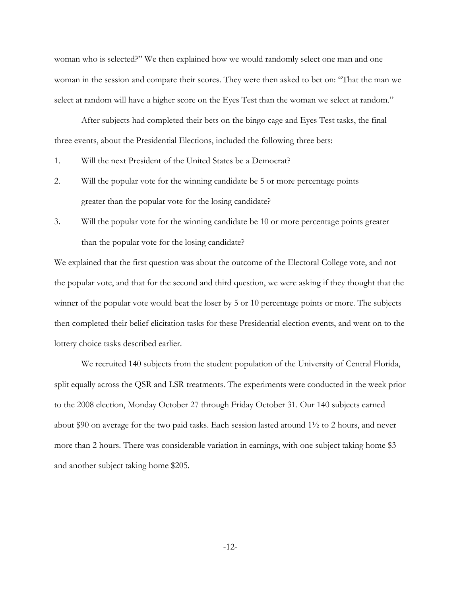woman who is selected?" We then explained how we would randomly select one man and one woman in the session and compare their scores. They were then asked to bet on: "That the man we select at random will have a higher score on the Eyes Test than the woman we select at random."

After subjects had completed their bets on the bingo cage and Eyes Test tasks, the final three events, about the Presidential Elections, included the following three bets:

- 1. Will the next President of the United States be a Democrat?
- 2. Will the popular vote for the winning candidate be 5 or more percentage points greater than the popular vote for the losing candidate?
- 3. Will the popular vote for the winning candidate be 10 or more percentage points greater than the popular vote for the losing candidate?

We explained that the first question was about the outcome of the Electoral College vote, and not the popular vote, and that for the second and third question, we were asking if they thought that the winner of the popular vote would beat the loser by 5 or 10 percentage points or more. The subjects then completed their belief elicitation tasks for these Presidential election events, and went on to the lottery choice tasks described earlier.

We recruited 140 subjects from the student population of the University of Central Florida, split equally across the QSR and LSR treatments. The experiments were conducted in the week prior to the 2008 election, Monday October 27 through Friday October 31. Our 140 subjects earned about \$90 on average for the two paid tasks. Each session lasted around  $1\frac{1}{2}$  to 2 hours, and never more than 2 hours. There was considerable variation in earnings, with one subject taking home \$3 and another subject taking home \$205.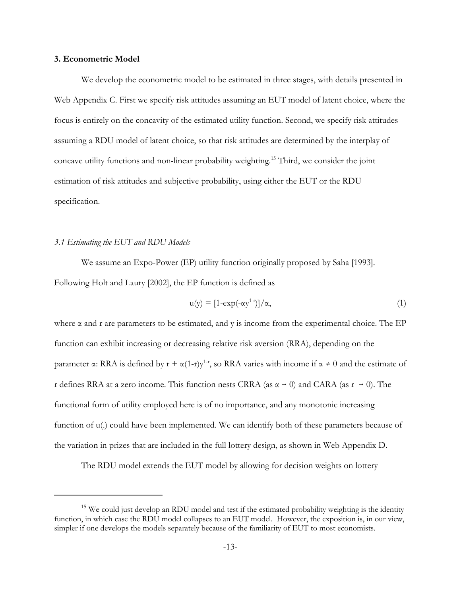# **3. Econometric Model**

We develop the econometric model to be estimated in three stages, with details presented in Web Appendix C. First we specify risk attitudes assuming an EUT model of latent choice, where the focus is entirely on the concavity of the estimated utility function. Second, we specify risk attitudes assuming a RDU model of latent choice, so that risk attitudes are determined by the interplay of concave utility functions and non-linear probability weighting.15 Third, we consider the joint estimation of risk attitudes and subjective probability, using either the EUT or the RDU specification.

#### *3.1 Estimating the EUT and RDU Models*

We assume an Expo-Power (EP) utility function originally proposed by Saha [1993]. Following Holt and Laury [2002], the EP function is defined as

$$
u(y) = [1 - \exp(-\alpha y^{1-r})]/\alpha,
$$
\n(1)

where  $\alpha$  and r are parameters to be estimated, and y is income from the experimental choice. The EP function can exhibit increasing or decreasing relative risk aversion (RRA), depending on the parameter  $\alpha$ : RRA is defined by  $r + \alpha(1-r)y^{1-r}$ , so RRA varies with income if  $\alpha \neq 0$  and the estimate of r defines RRA at a zero income. This function nests CRRA (as  $\alpha \rightarrow 0$ ) and CARA (as  $r \rightarrow 0$ ). The functional form of utility employed here is of no importance, and any monotonic increasing function of u(.) could have been implemented. We can identify both of these parameters because of the variation in prizes that are included in the full lottery design, as shown in Web Appendix D.

The RDU model extends the EUT model by allowing for decision weights on lottery

 $15$  We could just develop an RDU model and test if the estimated probability weighting is the identity function, in which case the RDU model collapses to an EUT model. However, the exposition is, in our view, simpler if one develops the models separately because of the familiarity of EUT to most economists.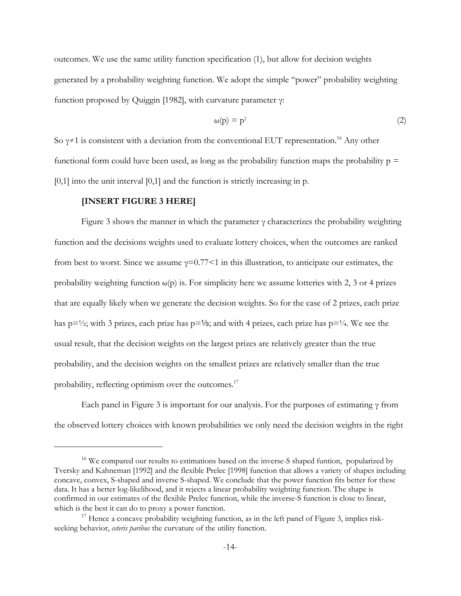outcomes. We use the same utility function specification (1), but allow for decision weights generated by a probability weighting function. We adopt the simple "power" probability weighting function proposed by Quiggin [1982], with curvature parameter γ:

$$
\omega(p) = p^{\gamma} \tag{2}
$$

So  $\gamma \neq 1$  is consistent with a deviation from the conventional EUT representation.<sup>16</sup> Any other functional form could have been used, as long as the probability function maps the probability  $p =$  $[0,1]$  into the unit interval  $[0,1]$  and the function is strictly increasing in p.

#### **[INSERT FIGURE 3 HERE]**

Figure 3 shows the manner in which the parameter  $\gamma$  characterizes the probability weighting function and the decisions weights used to evaluate lottery choices, when the outcomes are ranked from best to worst. Since we assume  $\gamma=0.77<1$  in this illustration, to anticipate our estimates, the probability weighting function  $\omega(p)$  is. For simplicity here we assume lotteries with 2, 3 or 4 prizes that are equally likely when we generate the decision weights. So for the case of 2 prizes, each prize has  $p = \frac{1}{2}$ ; with 3 prizes, each prize has  $p = \frac{1}{3}$ ; and with 4 prizes, each prize has  $p = \frac{1}{4}$ . We see the usual result, that the decision weights on the largest prizes are relatively greater than the true probability, and the decision weights on the smallest prizes are relatively smaller than the true probability, reflecting optimism over the outcomes.<sup>17</sup>

Each panel in Figure 3 is important for our analysis. For the purposes of estimating  $\gamma$  from the observed lottery choices with known probabilities we only need the decision weights in the right

<sup>&</sup>lt;sup>16</sup> We compared our results to estimations based on the inverse-S shaped funtion, popularized by Tversky and Kahneman [1992] and the flexible Prelec [1998] function that allows a variety of shapes including concave, convex, S-shaped and inverse S-shaped. We conclude that the power function fits better for these data. It has a better log-likelihood, and it rejects a linear probability weighting function. The shape is confirmed in our estimates of the flexible Prelec function, while the inverse-S function is close to linear, which is the best it can do to proxy a power function.

 $17$  Hence a concave probability weighting function, as in the left panel of Figure 3, implies riskseeking behavior, *ceteris paribus* the curvature of the utility function.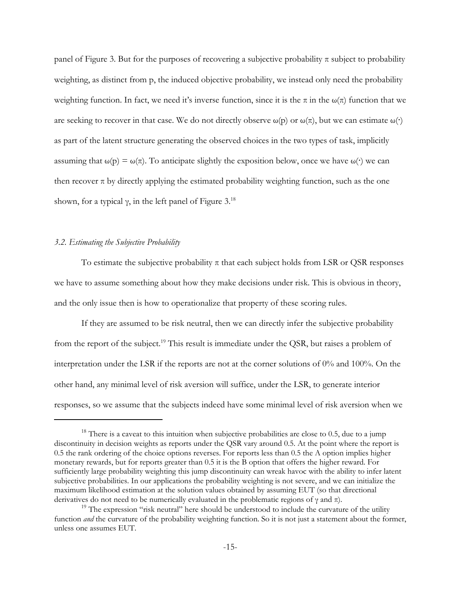panel of Figure 3. But for the purposes of recovering a subjective probability  $\pi$  subject to probability weighting, as distinct from p, the induced objective probability, we instead only need the probability weighting function. In fact, we need it's inverse function, since it is the  $\pi$  in the  $\omega(\pi)$  function that we are seeking to recover in that case. We do not directly observe  $\omega(p)$  or  $\omega(\pi)$ , but we can estimate  $\omega(\cdot)$ as part of the latent structure generating the observed choices in the two types of task, implicitly assuming that  $\omega(p) = \omega(\pi)$ . To anticipate slightly the exposition below, once we have  $\omega(\cdot)$  we can then recover  $\pi$  by directly applying the estimated probability weighting function, such as the one shown, for a typical  $\gamma$ , in the left panel of Figure 3.<sup>18</sup>

### *3.2. Estimating the Subjective Probability*

To estimate the subjective probability  $\pi$  that each subject holds from LSR or QSR responses we have to assume something about how they make decisions under risk. This is obvious in theory, and the only issue then is how to operationalize that property of these scoring rules.

If they are assumed to be risk neutral, then we can directly infer the subjective probability from the report of the subject.<sup>19</sup> This result is immediate under the QSR, but raises a problem of interpretation under the LSR if the reports are not at the corner solutions of 0% and 100%. On the other hand, any minimal level of risk aversion will suffice, under the LSR, to generate interior responses, so we assume that the subjects indeed have some minimal level of risk aversion when we

<sup>&</sup>lt;sup>18</sup> There is a caveat to this intuition when subjective probabilities are close to 0.5, due to a jump discontinuity in decision weights as reports under the QSR vary around 0.5. At the point where the report is 0.5 the rank ordering of the choice options reverses. For reports less than 0.5 the A option implies higher monetary rewards, but for reports greater than 0.5 it is the B option that offers the higher reward. For sufficiently large probability weighting this jump discontinuity can wreak havoc with the ability to infer latent subjective probabilities. In our applications the probability weighting is not severe, and we can initialize the maximum likelihood estimation at the solution values obtained by assuming EUT (so that directional derivatives do not need to be numerically evaluated in the problematic regions of  $\gamma$  and  $\pi$ ).

 $19$  The expression "risk neutral" here should be understood to include the curvature of the utility function *and* the curvature of the probability weighting function. So it is not just a statement about the former, unless one assumes EUT.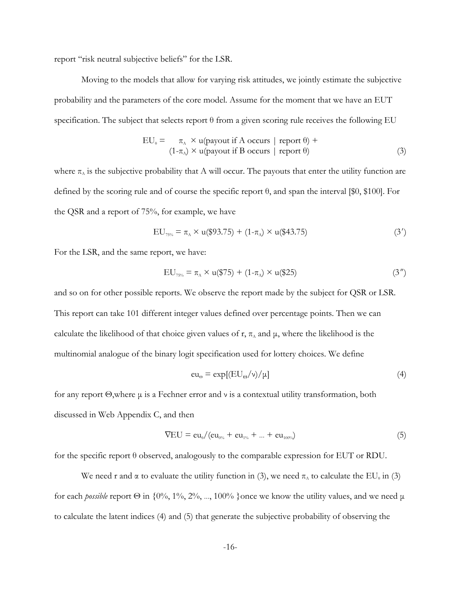report "risk neutral subjective beliefs" for the LSR.

Moving to the models that allow for varying risk attitudes, we jointly estimate the subjective probability and the parameters of the core model. Assume for the moment that we have an EUT specification. The subject that selects report θ from a given scoring rule receives the following EU

$$
EU_0 = \pi_A \times u(payout if A occurs \mid report \theta) +(1-\pi_A) \times u(payout if B occurs \mid report \theta)
$$
(3)

where  $\pi_A$  is the subjective probability that A will occur. The payouts that enter the utility function are defined by the scoring rule and of course the specific report θ, and span the interval [\$0, \$100]. For the QSR and a report of 75%, for example, we have

$$
EU_{75\%} = \pi_A \times u(\$93.75) + (1-\pi_A) \times u(\$43.75)
$$
 (3')

For the LSR, and the same report, we have:

$$
EU_{75\%} = \pi_A \times u(\$75) + (1-\pi_A) \times u(\$25)
$$
 (3")

and so on for other possible reports. We observe the report made by the subject for QSR or LSR. This report can take 101 different integer values defined over percentage points. Then we can calculate the likelihood of that choice given values of r,  $\pi_{\lambda}$  and  $\mu$ , where the likelihood is the multinomial analogue of the binary logit specification used for lottery choices. We define

$$
eu_{\Theta} = \exp\left[\left(\text{EU}_{\Theta}/\nu\right)/\mu\right] \tag{4}
$$

for any report Θ,where μ is a Fechner error and ν is a contextual utility transformation, both discussed in Web Appendix C, and then

$$
\nabla EU = \text{eu}_{0}/(\text{eu}_{0\%} + \text{eu}_{1\%} + \dots + \text{eu}_{100\%})
$$
\n(5)

for the specific report θ observed, analogously to the comparable expression for EUT or RDU.

We need r and  $\alpha$  to evaluate the utility function in (3), we need  $\pi_A$  to calculate the EU<sub>θ</sub> in (3) for each *possible* report  $\Theta$  in {0%, 1%, 2%, ..., 100% }once we know the utility values, and we need  $\mu$ to calculate the latent indices (4) and (5) that generate the subjective probability of observing the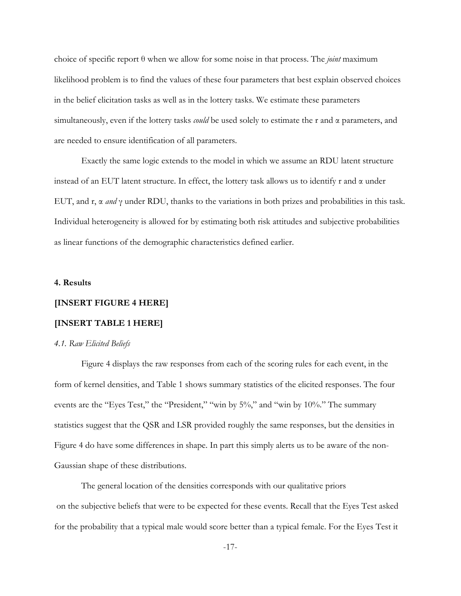choice of specific report θ when we allow for some noise in that process. The *joint* maximum likelihood problem is to find the values of these four parameters that best explain observed choices in the belief elicitation tasks as well as in the lottery tasks. We estimate these parameters simultaneously, even if the lottery tasks *could* be used solely to estimate the r and α parameters, and are needed to ensure identification of all parameters.

Exactly the same logic extends to the model in which we assume an RDU latent structure instead of an EUT latent structure. In effect, the lottery task allows us to identify r and  $\alpha$  under EUT, and  $r, \alpha$  *and*  $\gamma$  under RDU, thanks to the variations in both prizes and probabilities in this task. Individual heterogeneity is allowed for by estimating both risk attitudes and subjective probabilities as linear functions of the demographic characteristics defined earlier.

### **4. Results**

#### **[INSERT FIGURE 4 HERE]**

#### **[INSERT TABLE 1 HERE]**

#### *4.1. Raw Elicited Beliefs*

Figure 4 displays the raw responses from each of the scoring rules for each event, in the form of kernel densities, and Table 1 shows summary statistics of the elicited responses. The four events are the "Eyes Test," the "President," "win by 5%," and "win by 10%." The summary statistics suggest that the QSR and LSR provided roughly the same responses, but the densities in Figure 4 do have some differences in shape. In part this simply alerts us to be aware of the non-Gaussian shape of these distributions.

The general location of the densities corresponds with our qualitative priors on the subjective beliefs that were to be expected for these events. Recall that the Eyes Test asked for the probability that a typical male would score better than a typical female. For the Eyes Test it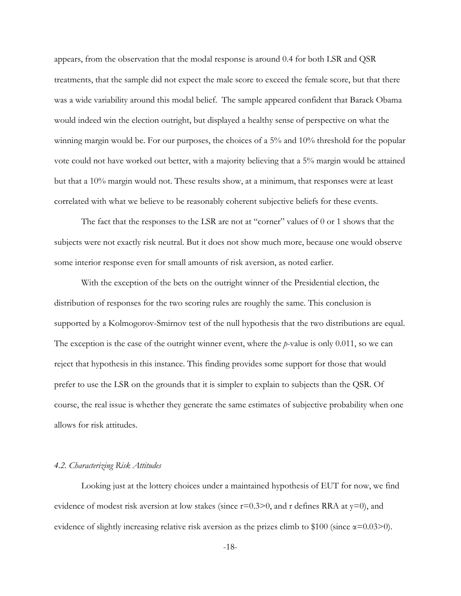appears, from the observation that the modal response is around 0.4 for both LSR and QSR treatments, that the sample did not expect the male score to exceed the female score, but that there was a wide variability around this modal belief. The sample appeared confident that Barack Obama would indeed win the election outright, but displayed a healthy sense of perspective on what the winning margin would be. For our purposes, the choices of a 5% and 10% threshold for the popular vote could not have worked out better, with a majority believing that a 5% margin would be attained but that a 10% margin would not. These results show, at a minimum, that responses were at least correlated with what we believe to be reasonably coherent subjective beliefs for these events.

The fact that the responses to the LSR are not at "corner" values of 0 or 1 shows that the subjects were not exactly risk neutral. But it does not show much more, because one would observe some interior response even for small amounts of risk aversion, as noted earlier.

With the exception of the bets on the outright winner of the Presidential election, the distribution of responses for the two scoring rules are roughly the same. This conclusion is supported by a Kolmogorov-Smirnov test of the null hypothesis that the two distributions are equal. The exception is the case of the outright winner event, where the *p*-value is only 0.011, so we can reject that hypothesis in this instance. This finding provides some support for those that would prefer to use the LSR on the grounds that it is simpler to explain to subjects than the QSR. Of course, the real issue is whether they generate the same estimates of subjective probability when one allows for risk attitudes.

### *4.2. Characterizing Risk Attitudes*

Looking just at the lottery choices under a maintained hypothesis of EUT for now, we find evidence of modest risk aversion at low stakes (since  $r=0.3>0$ , and r defines RRA at  $y=0$ ), and evidence of slightly increasing relative risk aversion as the prizes climb to \$100 (since  $\alpha$ =0.03>0).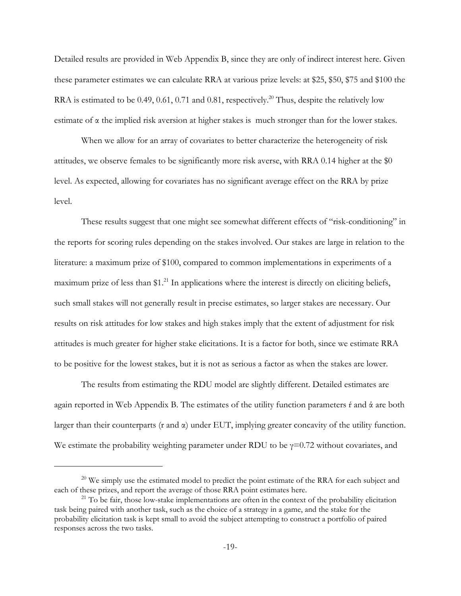Detailed results are provided in Web Appendix B, since they are only of indirect interest here. Given these parameter estimates we can calculate RRA at various prize levels: at \$25, \$50, \$75 and \$100 the RRA is estimated to be 0.49, 0.61, 0.71 and 0.81, respectively.<sup>20</sup> Thus, despite the relatively low estimate of α the implied risk aversion at higher stakes is much stronger than for the lower stakes.

When we allow for an array of covariates to better characterize the heterogeneity of risk attitudes, we observe females to be significantly more risk averse, with RRA 0.14 higher at the \$0 level. As expected, allowing for covariates has no significant average effect on the RRA by prize level.

These results suggest that one might see somewhat different effects of "risk-conditioning" in the reports for scoring rules depending on the stakes involved. Our stakes are large in relation to the literature: a maximum prize of \$100, compared to common implementations in experiments of a maximum prize of less than \$1.<sup>21</sup> In applications where the interest is directly on eliciting beliefs, such small stakes will not generally result in precise estimates, so larger stakes are necessary. Our results on risk attitudes for low stakes and high stakes imply that the extent of adjustment for risk attitudes is much greater for higher stake elicitations. It is a factor for both, since we estimate RRA to be positive for the lowest stakes, but it is not as serious a factor as when the stakes are lower.

The results from estimating the RDU model are slightly different. Detailed estimates are again reported in Web Appendix B. The estimates of the utility function parameters  $\acute{\text{r}}$  and  $\acute{\text{a}}$  are both larger than their counterparts (r and  $\alpha$ ) under EUT, implying greater concavity of the utility function. We estimate the probability weighting parameter under RDU to be  $\gamma$ =0.72 without covariates, and

 $20$  We simply use the estimated model to predict the point estimate of the RRA for each subject and each of these prizes, and report the average of those RRA point estimates here.

 $21$  To be fair, those low-stake implementations are often in the context of the probability elicitation task being paired with another task, such as the choice of a strategy in a game, and the stake for the probability elicitation task is kept small to avoid the subject attempting to construct a portfolio of paired responses across the two tasks.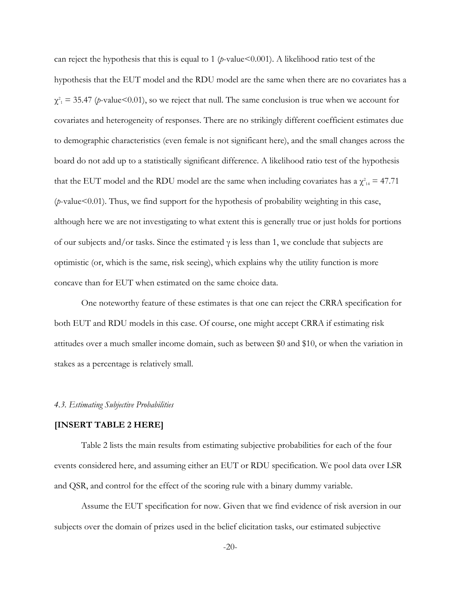can reject the hypothesis that this is equal to 1 (*p*-value<0.001). A likelihood ratio test of the hypothesis that the EUT model and the RDU model are the same when there are no covariates has a  $\chi^2_1 = 35.47$  (*p*-value<0.01), so we reject that null. The same conclusion is true when we account for covariates and heterogeneity of responses. There are no strikingly different coefficient estimates due to demographic characteristics (even female is not significant here), and the small changes across the board do not add up to a statistically significant difference. A likelihood ratio test of the hypothesis that the EUT model and the RDU model are the same when including covariates has a  $\chi^2_{14} = 47.71$ (*p*-value<0.01). Thus, we find support for the hypothesis of probability weighting in this case, although here we are not investigating to what extent this is generally true or just holds for portions of our subjects and/or tasks. Since the estimated  $\gamma$  is less than 1, we conclude that subjects are optimistic (or, which is the same, risk seeing), which explains why the utility function is more concave than for EUT when estimated on the same choice data.

One noteworthy feature of these estimates is that one can reject the CRRA specification for both EUT and RDU models in this case. Of course, one might accept CRRA if estimating risk attitudes over a much smaller income domain, such as between \$0 and \$10, or when the variation in stakes as a percentage is relatively small.

#### *4.3. Estimating Subjective Probabilities*

#### **[INSERT TABLE 2 HERE]**

Table 2 lists the main results from estimating subjective probabilities for each of the four events considered here, and assuming either an EUT or RDU specification. We pool data over LSR and QSR, and control for the effect of the scoring rule with a binary dummy variable.

Assume the EUT specification for now. Given that we find evidence of risk aversion in our subjects over the domain of prizes used in the belief elicitation tasks, our estimated subjective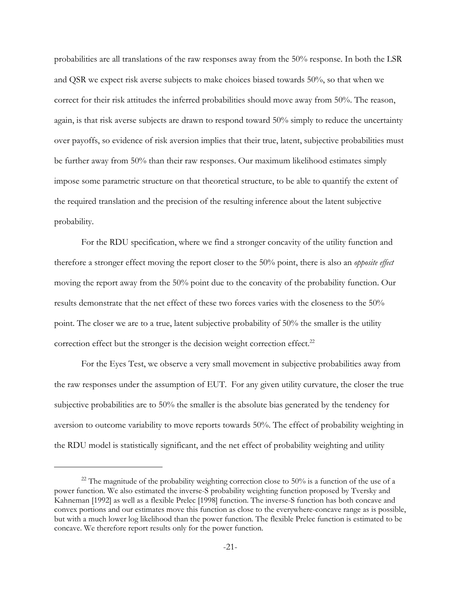probabilities are all translations of the raw responses away from the 50% response. In both the LSR and QSR we expect risk averse subjects to make choices biased towards 50%, so that when we correct for their risk attitudes the inferred probabilities should move away from 50%. The reason, again, is that risk averse subjects are drawn to respond toward 50% simply to reduce the uncertainty over payoffs, so evidence of risk aversion implies that their true, latent, subjective probabilities must be further away from 50% than their raw responses. Our maximum likelihood estimates simply impose some parametric structure on that theoretical structure, to be able to quantify the extent of the required translation and the precision of the resulting inference about the latent subjective probability.

For the RDU specification, where we find a stronger concavity of the utility function and therefore a stronger effect moving the report closer to the 50% point, there is also an *opposite effect* moving the report away from the 50% point due to the concavity of the probability function. Our results demonstrate that the net effect of these two forces varies with the closeness to the 50% point. The closer we are to a true, latent subjective probability of 50% the smaller is the utility correction effect but the stronger is the decision weight correction effect.<sup>22</sup>

For the Eyes Test, we observe a very small movement in subjective probabilities away from the raw responses under the assumption of EUT. For any given utility curvature, the closer the true subjective probabilities are to 50% the smaller is the absolute bias generated by the tendency for aversion to outcome variability to move reports towards 50%. The effect of probability weighting in the RDU model is statistically significant, and the net effect of probability weighting and utility

<sup>&</sup>lt;sup>22</sup> The magnitude of the probability weighting correction close to 50% is a function of the use of a power function. We also estimated the inverse-S probability weighting function proposed by Tversky and Kahneman [1992] as well as a flexible Prelec [1998] function. The inverse-S function has both concave and convex portions and our estimates move this function as close to the everywhere-concave range as is possible, but with a much lower log likelihood than the power function. The flexible Prelec function is estimated to be concave. We therefore report results only for the power function.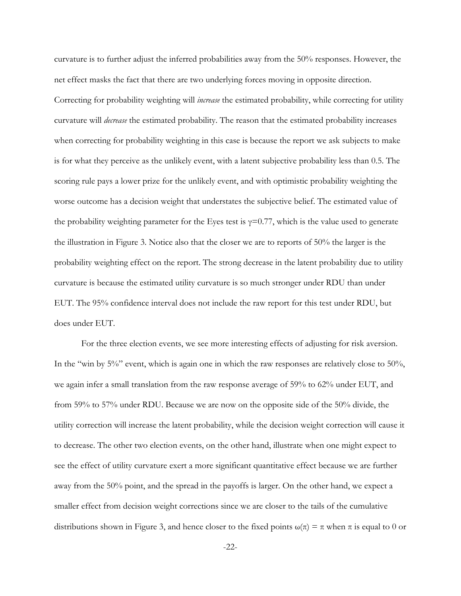curvature is to further adjust the inferred probabilities away from the 50% responses. However, the net effect masks the fact that there are two underlying forces moving in opposite direction. Correcting for probability weighting will *increase* the estimated probability, while correcting for utility curvature will *decrease* the estimated probability. The reason that the estimated probability increases when correcting for probability weighting in this case is because the report we ask subjects to make is for what they perceive as the unlikely event, with a latent subjective probability less than 0.5. The scoring rule pays a lower prize for the unlikely event, and with optimistic probability weighting the worse outcome has a decision weight that understates the subjective belief. The estimated value of the probability weighting parameter for the Eyes test is  $\gamma=0.77$ , which is the value used to generate the illustration in Figure 3. Notice also that the closer we are to reports of 50% the larger is the probability weighting effect on the report. The strong decrease in the latent probability due to utility curvature is because the estimated utility curvature is so much stronger under RDU than under EUT. The 95% confidence interval does not include the raw report for this test under RDU, but does under EUT.

For the three election events, we see more interesting effects of adjusting for risk aversion. In the "win by 5%" event, which is again one in which the raw responses are relatively close to 50%, we again infer a small translation from the raw response average of 59% to 62% under EUT, and from 59% to 57% under RDU. Because we are now on the opposite side of the 50% divide, the utility correction will increase the latent probability, while the decision weight correction will cause it to decrease. The other two election events, on the other hand, illustrate when one might expect to see the effect of utility curvature exert a more significant quantitative effect because we are further away from the 50% point, and the spread in the payoffs is larger. On the other hand, we expect a smaller effect from decision weight corrections since we are closer to the tails of the cumulative distributions shown in Figure 3, and hence closer to the fixed points  $\omega(\pi) = \pi$  when  $\pi$  is equal to 0 or

-22-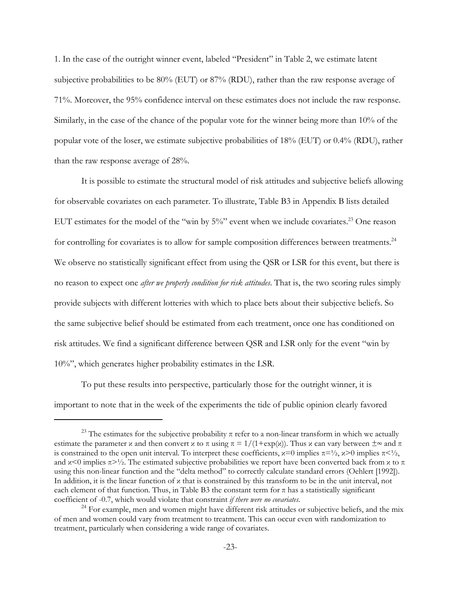1. In the case of the outright winner event, labeled "President" in Table 2, we estimate latent subjective probabilities to be 80% (EUT) or 87% (RDU), rather than the raw response average of 71%. Moreover, the 95% confidence interval on these estimates does not include the raw response. Similarly, in the case of the chance of the popular vote for the winner being more than 10% of the popular vote of the loser, we estimate subjective probabilities of 18% (EUT) or 0.4% (RDU), rather than the raw response average of 28%.

It is possible to estimate the structural model of risk attitudes and subjective beliefs allowing for observable covariates on each parameter. To illustrate, Table B3 in Appendix B lists detailed EUT estimates for the model of the "win by  $5\%$ " event when we include covariates.<sup>23</sup> One reason for controlling for covariates is to allow for sample composition differences between treatments.<sup>24</sup> We observe no statistically significant effect from using the QSR or LSR for this event, but there is no reason to expect one *after we properly condition for risk attitudes*. That is, the two scoring rules simply provide subjects with different lotteries with which to place bets about their subjective beliefs. So the same subjective belief should be estimated from each treatment, once one has conditioned on risk attitudes. We find a significant difference between QSR and LSR only for the event "win by 10%", which generates higher probability estimates in the LSR.

To put these results into perspective, particularly those for the outright winner, it is important to note that in the week of the experiments the tide of public opinion clearly favored

<sup>&</sup>lt;sup>23</sup> The estimates for the subjective probability  $\pi$  refer to a non-linear transform in which we actually estimate the parameter x and then convert x to  $\pi$  using  $\pi = 1/(1+\exp(x))$ . Thus x can vary between  $\pm \infty$  and  $\pi$ is constrained to the open unit interval. To interpret these coefficients,  $x=0$  implies  $\pi=\frac{1}{2}$ ,  $x>0$  implies  $\pi<\frac{1}{2}$ . and  $x \leq 0$  implies  $\pi > \frac{1}{2}$ . The estimated subjective probabilities we report have been converted back from x to  $\pi$ using this non-linear function and the "delta method" to correctly calculate standard errors (Oehlert [1992]). In addition, it is the linear function of κ that is constrained by this transform to be in the unit interval, not each element of that function. Thus, in Table B3 the constant term for  $\pi$  has a statistically significant coefficient of -0.7, which would violate that constraint *if there were no covariates*.

<sup>&</sup>lt;sup>24</sup> For example, men and women might have different risk attitudes or subjective beliefs, and the mix of men and women could vary from treatment to treatment. This can occur even with randomization to treatment, particularly when considering a wide range of covariates.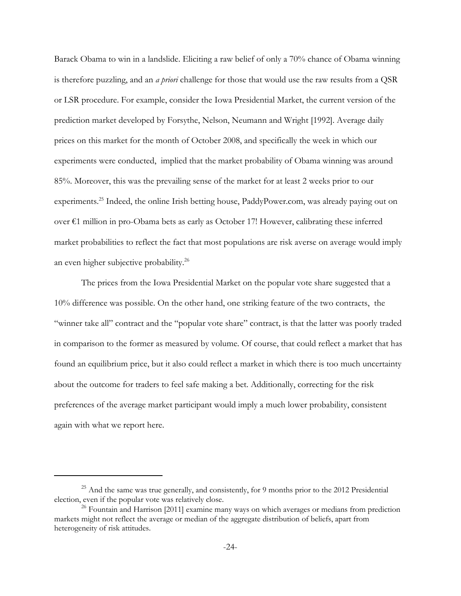Barack Obama to win in a landslide. Eliciting a raw belief of only a 70% chance of Obama winning is therefore puzzling, and an *a priori* challenge for those that would use the raw results from a QSR or LSR procedure. For example, consider the Iowa Presidential Market, the current version of the prediction market developed by Forsythe, Nelson, Neumann and Wright [1992]. Average daily prices on this market for the month of October 2008, and specifically the week in which our experiments were conducted, implied that the market probability of Obama winning was around 85%. Moreover, this was the prevailing sense of the market for at least 2 weeks prior to our experiments.<sup>25</sup> Indeed, the online Irish betting house, PaddyPower.com, was already paying out on over €1 million in pro-Obama bets as early as October 17! However, calibrating these inferred market probabilities to reflect the fact that most populations are risk averse on average would imply an even higher subjective probability.<sup>26</sup>

The prices from the Iowa Presidential Market on the popular vote share suggested that a 10% difference was possible. On the other hand, one striking feature of the two contracts, the "winner take all" contract and the "popular vote share" contract, is that the latter was poorly traded in comparison to the former as measured by volume. Of course, that could reflect a market that has found an equilibrium price, but it also could reflect a market in which there is too much uncertainty about the outcome for traders to feel safe making a bet. Additionally, correcting for the risk preferences of the average market participant would imply a much lower probability, consistent again with what we report here.

 $^{25}$  And the same was true generally, and consistently, for 9 months prior to the 2012 Presidential election, even if the popular vote was relatively close.

 $26$  Fountain and Harrison [2011] examine many ways on which averages or medians from prediction markets might not reflect the average or median of the aggregate distribution of beliefs, apart from heterogeneity of risk attitudes.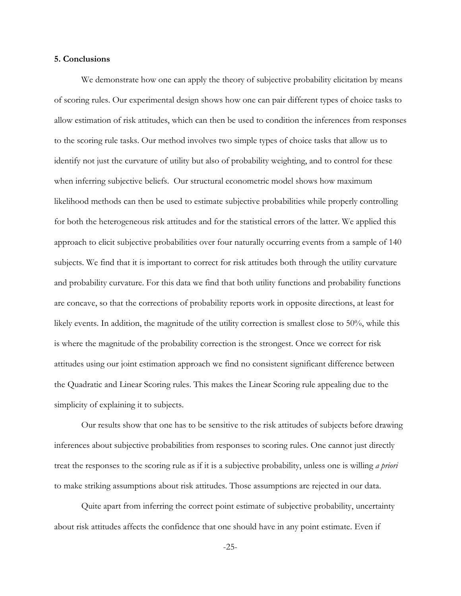#### **5. Conclusions**

We demonstrate how one can apply the theory of subjective probability elicitation by means of scoring rules. Our experimental design shows how one can pair different types of choice tasks to allow estimation of risk attitudes, which can then be used to condition the inferences from responses to the scoring rule tasks. Our method involves two simple types of choice tasks that allow us to identify not just the curvature of utility but also of probability weighting, and to control for these when inferring subjective beliefs. Our structural econometric model shows how maximum likelihood methods can then be used to estimate subjective probabilities while properly controlling for both the heterogeneous risk attitudes and for the statistical errors of the latter. We applied this approach to elicit subjective probabilities over four naturally occurring events from a sample of 140 subjects. We find that it is important to correct for risk attitudes both through the utility curvature and probability curvature. For this data we find that both utility functions and probability functions are concave, so that the corrections of probability reports work in opposite directions, at least for likely events. In addition, the magnitude of the utility correction is smallest close to 50%, while this is where the magnitude of the probability correction is the strongest. Once we correct for risk attitudes using our joint estimation approach we find no consistent significant difference between the Quadratic and Linear Scoring rules. This makes the Linear Scoring rule appealing due to the simplicity of explaining it to subjects.

Our results show that one has to be sensitive to the risk attitudes of subjects before drawing inferences about subjective probabilities from responses to scoring rules. One cannot just directly treat the responses to the scoring rule as if it is a subjective probability, unless one is willing *a priori* to make striking assumptions about risk attitudes. Those assumptions are rejected in our data.

Quite apart from inferring the correct point estimate of subjective probability, uncertainty about risk attitudes affects the confidence that one should have in any point estimate. Even if

-25-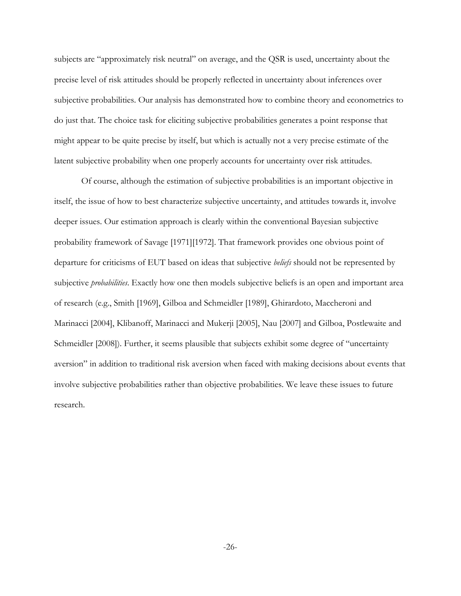subjects are "approximately risk neutral" on average, and the QSR is used, uncertainty about the precise level of risk attitudes should be properly reflected in uncertainty about inferences over subjective probabilities. Our analysis has demonstrated how to combine theory and econometrics to do just that. The choice task for eliciting subjective probabilities generates a point response that might appear to be quite precise by itself, but which is actually not a very precise estimate of the latent subjective probability when one properly accounts for uncertainty over risk attitudes.

Of course, although the estimation of subjective probabilities is an important objective in itself, the issue of how to best characterize subjective uncertainty, and attitudes towards it, involve deeper issues. Our estimation approach is clearly within the conventional Bayesian subjective probability framework of Savage [1971][1972]. That framework provides one obvious point of departure for criticisms of EUT based on ideas that subjective *beliefs* should not be represented by subjective *probabilities*. Exactly how one then models subjective beliefs is an open and important area of research (e.g., Smith [1969], Gilboa and Schmeidler [1989], Ghirardoto, Maccheroni and Marinacci [2004], Klibanoff, Marinacci and Mukerji [2005], Nau [2007] and Gilboa, Postlewaite and Schmeidler [2008]). Further, it seems plausible that subjects exhibit some degree of "uncertainty aversion" in addition to traditional risk aversion when faced with making decisions about events that involve subjective probabilities rather than objective probabilities. We leave these issues to future research.

-26-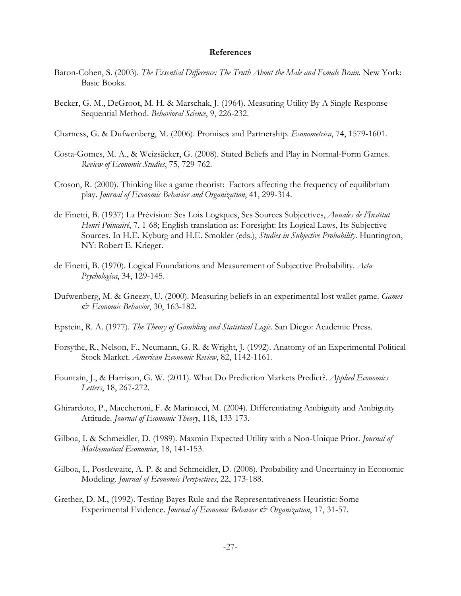#### **References**

- Baron-Cohen, S. (2003). *The Essential Difference: The Truth About the Male and Female Brain*. New York: Basic Books.
- Becker, G. M., DeGroot, M. H. & Marschak, J. (1964). Measuring Utility By A Single-Response Sequential Method. *Behavioral Science*, 9, 226-232.
- Charness, G. & Dufwenberg, M. (2006). Promises and Partnership. *Econometrica*, 74, 1579-1601.
- Costa-Gomes, M. A., & Weizsäcker, G. (2008). Stated Beliefs and Play in Normal-Form Games. *Review of Economic Studies*, 75, 729-762.
- Croson, R. (2000). Thinking like a game theorist: Factors affecting the frequency of equilibrium play. *Journal of Economic Behavior and Organization*, 41, 299-314.
- de Finetti, B. (1937) La Prévision: Ses Lois Logiques, Ses Sources Subjectives, *Annales de l'Institut Henri Poincairé*, 7, 1-68; English translation as: Foresight: Its Logical Laws, Its Subjective Sources. In H.E. Kyburg and H.E. Smokler (eds.), *Studies in Subjective Probability*. Huntington, NY: Robert E. Krieger.
- de Finetti, B. (1970). Logical Foundations and Measurement of Subjective Probability. *Acta Psychologica*, 34, 129-145.
- Dufwenberg, M. & Gneezy, U. (2000). Measuring beliefs in an experimental lost wallet game. *Games & Economic Behavior*, 30, 163-182.
- Epstein, R. A. (1977). *The Theory of Gambling and Statistical Logic.* San Diego: Academic Press.
- Forsythe, R., Nelson, F., Neumann, G. R. & Wright, J. (1992). Anatomy of an Experimental Political Stock Market. *American Economic Review*, 82, 1142-1161.
- Fountain, J., & Harrison, G. W. (2011). What Do Prediction Markets Predict?. *Applied Economics Letters*, 18, 267-272.
- Ghirardoto, P., Maccheroni, F. & Marinacci, M. (2004). Differentiating Ambiguity and Ambiguity Attitude. *Journal of Economic Theory*, 118, 133-173.
- Gilboa, I. & Schmeidler, D. (1989). Maxmin Expected Utility with a Non-Unique Prior. *Journal of Mathematical Economics*, 18, 141-153.
- Gilboa, I., Postlewaite, A. P. & and Schmeidler, D. (2008). Probability and Uncertainty in Economic Modeling. *Journal of Economic Perspectives*, 22, 173-188.
- Grether, D. M., (1992). Testing Bayes Rule and the Representativeness Heuristic: Some Experimental Evidence. *Journal of Economic Behavior & Organization*, 17, 31-57.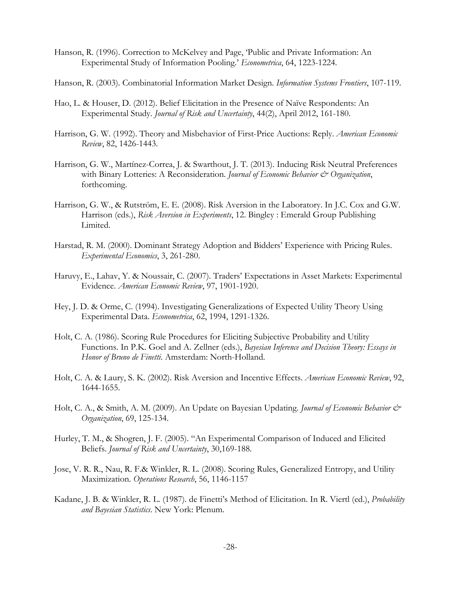- Hanson, R. (1996). Correction to McKelvey and Page, 'Public and Private Information: An Experimental Study of Information Pooling.' *Econometrica*, 64, 1223-1224.
- Hanson, R. (2003). Combinatorial Information Market Design. *Information Systems Frontiers*, 107-119.
- Hao, L. & Houser, D. (2012). Belief Elicitation in the Presence of Naïve Respondents: An Experimental Study. *Journal of Risk and Uncertainty*, 44(2), April 2012, 161-180.
- Harrison, G. W. (1992). Theory and Misbehavior of First-Price Auctions: Reply. *American Economic Review*, 82, 1426-1443.
- Harrison, G. W., Martínez-Correa, J. & Swarthout, J. T. (2013). Inducing Risk Neutral Preferences with Binary Lotteries: A Reconsideration. *Journal of Economic Behavior & Organization*, forthcoming.
- Harrison, G. W., & Rutström, E. E. (2008). Risk Aversion in the Laboratory. In J.C. Cox and G.W. Harrison (eds.), *Risk Aversion in Experiments*, 12. Bingley : Emerald Group Publishing Limited.
- Harstad, R. M. (2000). Dominant Strategy Adoption and Bidders' Experience with Pricing Rules. *Experimental Economics*, 3, 261-280.
- Haruvy, E., Lahav, Y. & Noussair, C. (2007). Traders' Expectations in Asset Markets: Experimental Evidence. *American Economic Review*, 97, 1901-1920.
- Hey, J. D. & Orme, C. (1994). Investigating Generalizations of Expected Utility Theory Using Experimental Data. *Econometrica*, 62, 1994, 1291-1326.
- Holt, C. A. (1986). Scoring Rule Procedures for Eliciting Subjective Probability and Utility Functions. In P.K. Goel and A. Zellner (eds.), *Bayesian Inference and Decision Theory: Essays in Honor of Bruno de Finetti*. Amsterdam: North-Holland.
- Holt, C. A. & Laury, S. K. (2002). Risk Aversion and Incentive Effects. *American Economic Review*, 92, 1644-1655.
- Holt, C. A., & Smith, A. M. (2009). An Update on Bayesian Updating. *Journal of Economic Behavior & Organization*, 69, 125-134.
- Hurley, T. M., & Shogren, J. F. (2005). "An Experimental Comparison of Induced and Elicited Beliefs. *Journal of Risk and Uncertainty*, 30,169-188.
- Jose, V. R. R., Nau, R. F.& Winkler, R. L. (2008). Scoring Rules, Generalized Entropy, and Utility Maximization. *Operations Research*, 56, 1146-1157
- Kadane, J. B. & Winkler, R. L. (1987). de Finetti's Method of Elicitation. In R. Viertl (ed.), *Probability and Bayesian Statistics*. New York: Plenum.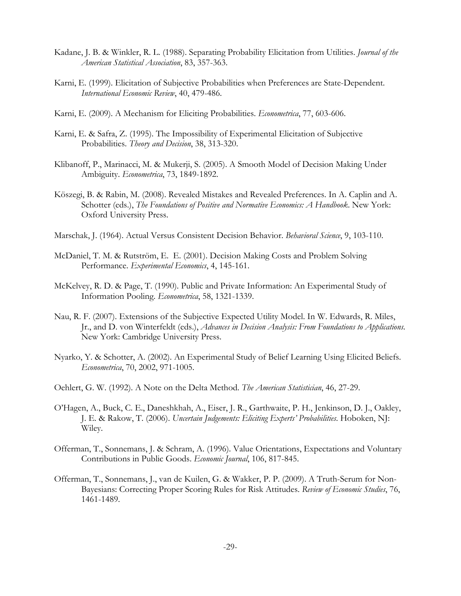- Kadane, J. B. & Winkler, R. L. (1988). Separating Probability Elicitation from Utilities. *Journal of the American Statistical Association*, 83, 357-363.
- Karni, E. (1999). Elicitation of Subjective Probabilities when Preferences are State-Dependent. *International Economic Review*, 40, 479-486.
- Karni, E. (2009). A Mechanism for Eliciting Probabilities. *Econometrica*, 77, 603-606.
- Karni, E. & Safra, Z. (1995). The Impossibility of Experimental Elicitation of Subjective Probabilities. *Theory and Decision*, 38, 313-320.
- Klibanoff, P., Marinacci, M. & Mukerji, S. (2005). A Smooth Model of Decision Making Under Ambiguity. *Econometrica*, 73, 1849-1892.
- Köszegi, B. & Rabin, M. (2008). Revealed Mistakes and Revealed Preferences. In A. Caplin and A. Schotter (eds.), *The Foundations of Positive and Normative Economics: A Handbook*. New York: Oxford University Press.
- Marschak, J. (1964). Actual Versus Consistent Decision Behavior. *Behavioral Science*, 9, 103-110.
- McDaniel, T. M. & Rutström, E. E. (2001). Decision Making Costs and Problem Solving Performance. *Experimental Economics*, 4, 145-161.
- McKelvey, R. D. & Page, T. (1990). Public and Private Information: An Experimental Study of Information Pooling. *Econometrica*, 58, 1321-1339.
- Nau, R. F. (2007). Extensions of the Subjective Expected Utility Model. In W. Edwards, R. Miles, Jr., and D. von Winterfeldt (eds.), *Advances in Decision Analysis: From Foundations to Applications.* New York: Cambridge University Press.
- Nyarko, Y. & Schotter, A. (2002). An Experimental Study of Belief Learning Using Elicited Beliefs. *Econometrica*, 70, 2002, 971-1005.
- Oehlert, G. W. (1992). A Note on the Delta Method. *The American Statistician*, 46, 27-29.
- O'Hagen, A., Buck, C. E., Daneshkhah, A., Eiser, J. R., Garthwaite, P. H., Jenkinson, D. J., Oakley, J. E. & Rakow, T. (2006). *Uncertain Judgements: Eliciting Experts' Probabilities*. Hoboken, NJ: Wiley.
- Offerman, T., Sonnemans, J. & Schram, A. (1996). Value Orientations, Expectations and Voluntary Contributions in Public Goods. *Economic Journal*, 106, 817-845.
- Offerman, T., Sonnemans, J., van de Kuilen, G. & Wakker, P. P. (2009). A Truth-Serum for Non-Bayesians: Correcting Proper Scoring Rules for Risk Attitudes. *Review of Economic Studies*, 76, 1461-1489.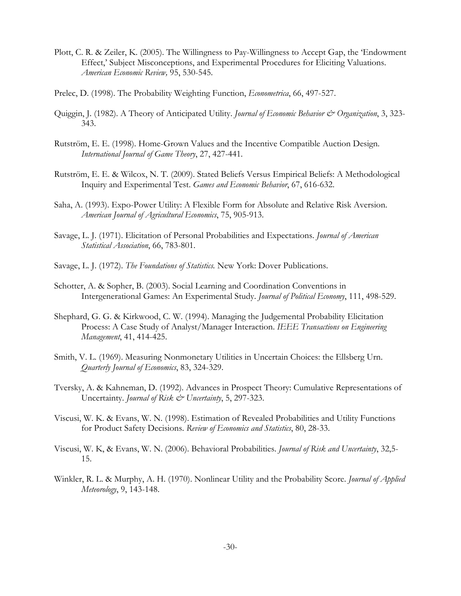- Plott, C. R. & Zeiler, K. (2005). The Willingness to Pay-Willingness to Accept Gap, the 'Endowment Effect,' Subject Misconceptions, and Experimental Procedures for Eliciting Valuations. *American Economic Review,* 95, 530-545.
- Prelec, D. (1998). The Probability Weighting Function, *Econometrica*, 66, 497-527.
- Quiggin, J. (1982). A Theory of Anticipated Utility. *Journal of Economic Behavior & Organization*, 3, 323-343.
- Rutström, E. E. (1998). Home-Grown Values and the Incentive Compatible Auction Design. *International Journal of Game Theory*, 27, 427-441.
- Rutström, E. E. & Wilcox, N. T. (2009). Stated Beliefs Versus Empirical Beliefs: A Methodological Inquiry and Experimental Test. *Games and Economic Behavior*, 67, 616-632.
- Saha, A. (1993). Expo-Power Utility: A Flexible Form for Absolute and Relative Risk Aversion. *American Journal of Agricultural Economics*, 75, 905-913.
- Savage, L. J. (1971). Elicitation of Personal Probabilities and Expectations. *Journal of American Statistical Association*, 66, 783-801.
- Savage, L. J. (1972). *The Foundations of Statistics.* New York: Dover Publications.
- Schotter, A. & Sopher, B. (2003). Social Learning and Coordination Conventions in Intergenerational Games: An Experimental Study. *Journal of Political Economy*, 111, 498-529.
- Shephard, G. G. & Kirkwood, C. W. (1994). Managing the Judgemental Probability Elicitation Process: A Case Study of Analyst/Manager Interaction. *IEEE Transactions on Engineering Management*, 41, 414-425.
- Smith, V. L. (1969). Measuring Nonmonetary Utilities in Uncertain Choices: the Ellsberg Urn. *Quarterly Journal of Economics*, 83, 324-329.
- Tversky, A. & Kahneman, D. (1992). Advances in Prospect Theory: Cumulative Representations of Uncertainty. *Journal of Risk & Uncertainty*, 5, 297-323.
- Viscusi, W. K. & Evans, W. N. (1998). Estimation of Revealed Probabilities and Utility Functions for Product Safety Decisions. *Review of Economics and Statistics*, 80, 28-33.
- Viscusi, W. K, & Evans, W. N. (2006). Behavioral Probabilities. *Journal of Risk and Uncertainty*, 32,5- 15.
- Winkler, R. L. & Murphy, A. H. (1970). Nonlinear Utility and the Probability Score. *Journal of Applied Meteorology*, 9, 143-148.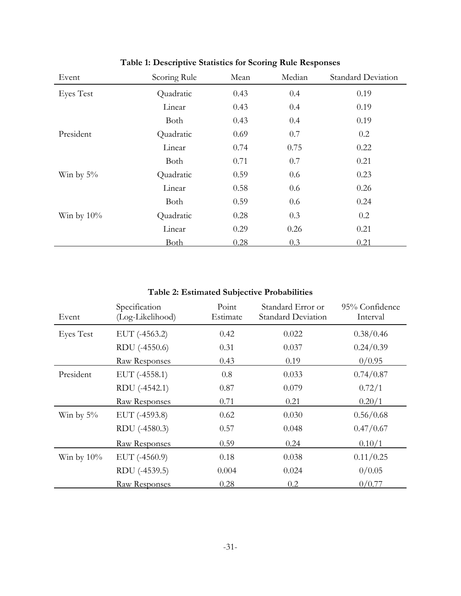| Event            | Scoring Rule | Mean | Median | <b>Standard Deviation</b> |
|------------------|--------------|------|--------|---------------------------|
| <b>Eyes Test</b> | Quadratic    | 0.43 | 0.4    | 0.19                      |
|                  | Linear       | 0.43 | 0.4    | 0.19                      |
|                  | Both         | 0.43 | 0.4    | 0.19                      |
| President        | Quadratic    | 0.69 | 0.7    | 0.2                       |
|                  | Linear       | 0.74 | 0.75   | 0.22                      |
|                  | Both         | 0.71 | 0.7    | 0.21                      |
| Win by $5\%$     | Quadratic    | 0.59 | 0.6    | 0.23                      |
|                  | Linear       | 0.58 | 0.6    | 0.26                      |
|                  | Both         | 0.59 | 0.6    | 0.24                      |
| Win by $10\%$    | Quadratic    | 0.28 | 0.3    | 0.2                       |
|                  | Linear       | 0.29 | 0.26   | 0.21                      |
|                  | Both         | 0.28 | 0.3    | 0.21                      |

# **Table 1: Descriptive Statistics for Scoring Rule Responses**

| Event            | Specification<br>(Log-Likelihood) | Point<br>Estimate | Standard Error or<br><b>Standard Deviation</b> | 95% Confidence<br>Interval |
|------------------|-----------------------------------|-------------------|------------------------------------------------|----------------------------|
| <b>Eyes Test</b> | EUT (-4563.2)                     | 0.42              | 0.022                                          | 0.38/0.46                  |
|                  | RDU (-4550.6)                     | 0.31              | 0.037                                          | 0.24/0.39                  |
|                  | Raw Responses                     | 0.43              | 0.19                                           | 0/0.95                     |
| President        | $EUT$ (-4558.1)                   | 0.8               | 0.033                                          | 0.74/0.87                  |
|                  | RDU (-4542.1)                     | 0.87              | 0.079                                          | 0.72/1                     |
|                  | Raw Responses                     | 0.71              | 0.21                                           | 0.20/1                     |
| Win by $5\%$     | EUT (-4593.8)                     | 0.62              | 0.030                                          | 0.56/0.68                  |
|                  | RDU (-4580.3)                     | 0.57              | 0.048                                          | 0.47/0.67                  |
|                  | Raw Responses                     | 0.59              | 0.24                                           | 0.10/1                     |
| Win by $10\%$    | $EUT$ (-4560.9)                   | 0.18              | 0.038                                          | 0.11/0.25                  |
|                  | RDU (-4539.5)                     | 0.004             | 0.024                                          | 0/0.05                     |
|                  | Raw Responses                     | 0.28              | 0.2                                            | 0/0.77                     |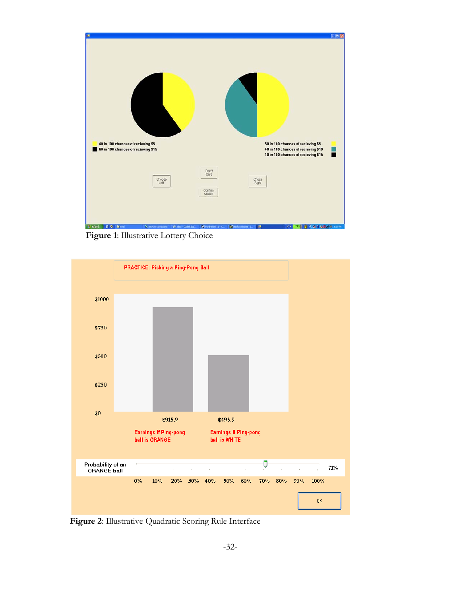

**Figure 1**: Illustrative Lottery Choice



**Figure 2**: Illustrative Quadratic Scoring Rule Interface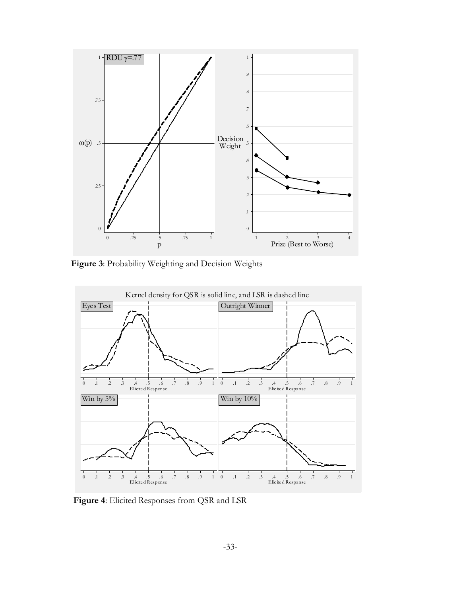

Figure 3: Probability Weighting and Decision Weights



**Figure 4**: Elicited Responses from QSR and LSR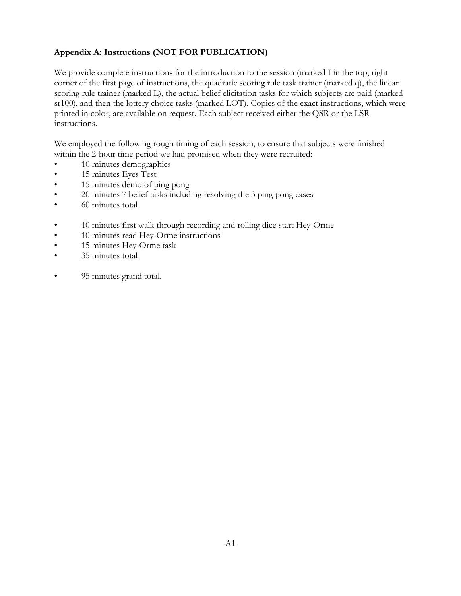# **Appendix A: Instructions (NOT FOR PUBLICATION)**

We provide complete instructions for the introduction to the session (marked I in the top, right corner of the first page of instructions, the quadratic scoring rule task trainer (marked q), the linear scoring rule trainer (marked L), the actual belief elicitation tasks for which subjects are paid (marked sr100), and then the lottery choice tasks (marked LOT). Copies of the exact instructions, which were printed in color, are available on request. Each subject received either the QSR or the LSR instructions.

We employed the following rough timing of each session, to ensure that subjects were finished within the 2-hour time period we had promised when they were recruited:

- 10 minutes demographics
- 15 minutes Eyes Test
- 15 minutes demo of ping pong
- 20 minutes 7 belief tasks including resolving the 3 ping pong cases
- 60 minutes total
- 10 minutes first walk through recording and rolling dice start Hey-Orme
- 10 minutes read Hey-Orme instructions
- 15 minutes Hey-Orme task
- 35 minutes total
- 95 minutes grand total.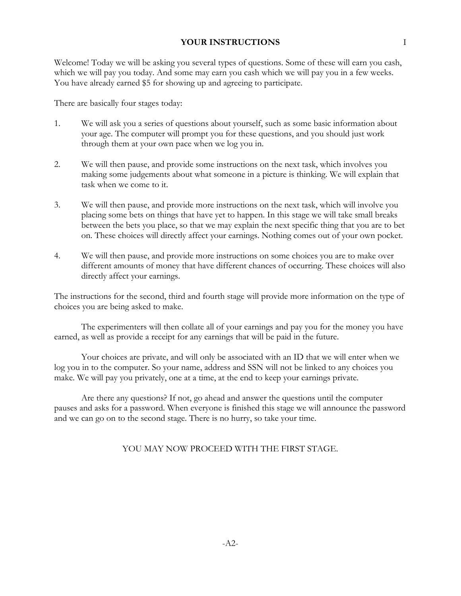# **YOUR INSTRUCTIONS** I

Welcome! Today we will be asking you several types of questions. Some of these will earn you cash, which we will pay you today. And some may earn you cash which we will pay you in a few weeks. You have already earned \$5 for showing up and agreeing to participate.

There are basically four stages today:

- 1. We will ask you a series of questions about yourself, such as some basic information about your age. The computer will prompt you for these questions, and you should just work through them at your own pace when we log you in.
- 2. We will then pause, and provide some instructions on the next task, which involves you making some judgements about what someone in a picture is thinking. We will explain that task when we come to it.
- 3. We will then pause, and provide more instructions on the next task, which will involve you placing some bets on things that have yet to happen. In this stage we will take small breaks between the bets you place, so that we may explain the next specific thing that you are to bet on. These choices will directly affect your earnings. Nothing comes out of your own pocket.
- 4. We will then pause, and provide more instructions on some choices you are to make over different amounts of money that have different chances of occurring. These choices will also directly affect your earnings.

The instructions for the second, third and fourth stage will provide more information on the type of choices you are being asked to make.

The experimenters will then collate all of your earnings and pay you for the money you have earned, as well as provide a receipt for any earnings that will be paid in the future.

Your choices are private, and will only be associated with an ID that we will enter when we log you in to the computer. So your name, address and SSN will not be linked to any choices you make. We will pay you privately, one at a time, at the end to keep your earnings private.

Are there any questions? If not, go ahead and answer the questions until the computer pauses and asks for a password. When everyone is finished this stage we will announce the password and we can go on to the second stage. There is no hurry, so take your time.

# YOU MAY NOW PROCEED WITH THE FIRST STAGE.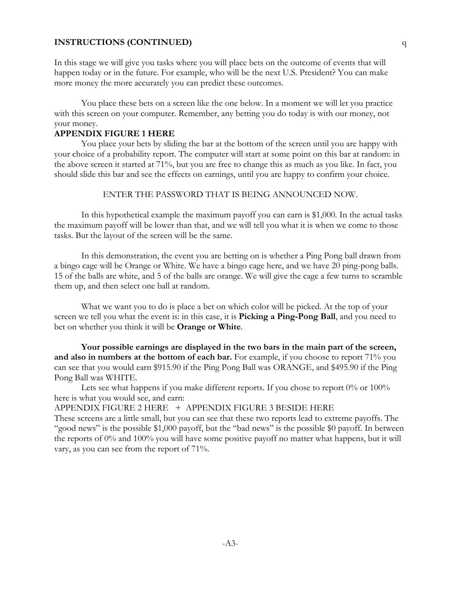## **INSTRUCTIONS (CONTINUED)** q

In this stage we will give you tasks where you will place bets on the outcome of events that will happen today or in the future. For example, who will be the next U.S. President? You can make more money the more accurately you can predict these outcomes.

You place these bets on a screen like the one below. In a moment we will let you practice with this screen on your computer. Remember, any betting you do today is with our money, not your money.

#### **APPENDIX FIGURE 1 HERE**

You place your bets by sliding the bar at the bottom of the screen until you are happy with your choice of a probability report. The computer will start at some point on this bar at random: in the above screen it started at 71%, but you are free to change this as much as you like. In fact, you should slide this bar and see the effects on earnings, until you are happy to confirm your choice.

# ENTER THE PASSWORD THAT IS BEING ANNOUNCED NOW.

In this hypothetical example the maximum payoff you can earn is \$1,000. In the actual tasks the maximum payoff will be lower than that, and we will tell you what it is when we come to those tasks. But the layout of the screen will be the same.

In this demonstration, the event you are betting on is whether a Ping Pong ball drawn from a bingo cage will be Orange or White. We have a bingo cage here, and we have 20 ping-pong balls. 15 of the balls are white, and 5 of the balls are orange. We will give the cage a few turns to scramble them up, and then select one ball at random.

What we want you to do is place a bet on which color will be picked. At the top of your screen we tell you what the event is: in this case, it is **Picking a Ping-Pong Ball**, and you need to bet on whether you think it will be **Orange or White**.

**Your possible earnings are displayed in the two bars in the main part of the screen, and also in numbers at the bottom of each bar.** For example, if you choose to report 71% you can see that you would earn \$915.90 if the Ping Pong Ball was ORANGE, and \$495.90 if the Ping Pong Ball was WHITE.

Lets see what happens if you make different reports. If you chose to report 0% or 100% here is what you would see, and earn:

APPENDIX FIGURE 2 HERE + APPENDIX FIGURE 3 BESIDE HERE

These screens are a little small, but you can see that these two reports lead to extreme payoffs. The "good news" is the possible \$1,000 payoff, but the "bad news" is the possible \$0 payoff. In between the reports of 0% and 100% you will have some positive payoff no matter what happens, but it will vary, as you can see from the report of 71%.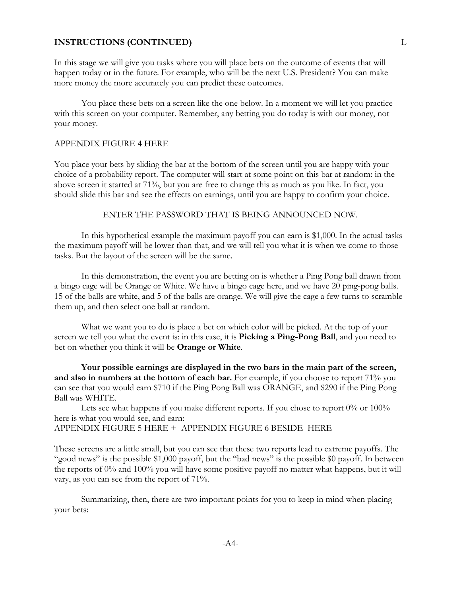### **INSTRUCTIONS (CONTINUED)** L

In this stage we will give you tasks where you will place bets on the outcome of events that will happen today or in the future. For example, who will be the next U.S. President? You can make more money the more accurately you can predict these outcomes.

You place these bets on a screen like the one below. In a moment we will let you practice with this screen on your computer. Remember, any betting you do today is with our money, not your money.

#### APPENDIX FIGURE 4 HERE

You place your bets by sliding the bar at the bottom of the screen until you are happy with your choice of a probability report. The computer will start at some point on this bar at random: in the above screen it started at 71%, but you are free to change this as much as you like. In fact, you should slide this bar and see the effects on earnings, until you are happy to confirm your choice.

### ENTER THE PASSWORD THAT IS BEING ANNOUNCED NOW.

In this hypothetical example the maximum payoff you can earn is \$1,000. In the actual tasks the maximum payoff will be lower than that, and we will tell you what it is when we come to those tasks. But the layout of the screen will be the same.

In this demonstration, the event you are betting on is whether a Ping Pong ball drawn from a bingo cage will be Orange or White. We have a bingo cage here, and we have 20 ping-pong balls. 15 of the balls are white, and 5 of the balls are orange. We will give the cage a few turns to scramble them up, and then select one ball at random.

What we want you to do is place a bet on which color will be picked. At the top of your screen we tell you what the event is: in this case, it is **Picking a Ping-Pong Ball**, and you need to bet on whether you think it will be **Orange or White**.

**Your possible earnings are displayed in the two bars in the main part of the screen, and also in numbers at the bottom of each bar.** For example, if you choose to report 71% you can see that you would earn \$710 if the Ping Pong Ball was ORANGE, and \$290 if the Ping Pong Ball was WHITE.

Lets see what happens if you make different reports. If you chose to report 0% or 100% here is what you would see, and earn: APPENDIX FIGURE 5 HERE + APPENDIX FIGURE 6 BESIDE HERE

These screens are a little small, but you can see that these two reports lead to extreme payoffs. The "good news" is the possible \$1,000 payoff, but the "bad news" is the possible \$0 payoff. In between the reports of 0% and 100% you will have some positive payoff no matter what happens, but it will vary, as you can see from the report of 71%.

Summarizing, then, there are two important points for you to keep in mind when placing your bets: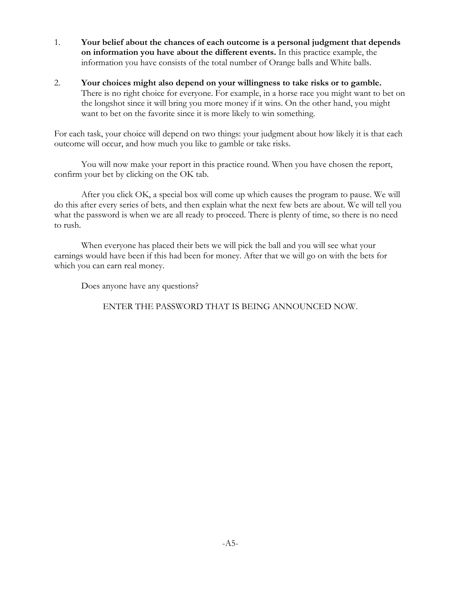- 1. **Your belief about the chances of each outcome is a personal judgment that depends on information you have about the different events.** In this practice example, the information you have consists of the total number of Orange balls and White balls.
- 2. **Your choices might also depend on your willingness to take risks or to gamble.** There is no right choice for everyone. For example, in a horse race you might want to bet on the longshot since it will bring you more money if it wins. On the other hand, you might want to bet on the favorite since it is more likely to win something.

For each task, your choice will depend on two things: your judgment about how likely it is that each outcome will occur, and how much you like to gamble or take risks.

You will now make your report in this practice round. When you have chosen the report, confirm your bet by clicking on the OK tab.

After you click OK, a special box will come up which causes the program to pause. We will do this after every series of bets, and then explain what the next few bets are about. We will tell you what the password is when we are all ready to proceed. There is plenty of time, so there is no need to rush.

When everyone has placed their bets we will pick the ball and you will see what your earnings would have been if this had been for money. After that we will go on with the bets for which you can earn real money.

Does anyone have any questions?

ENTER THE PASSWORD THAT IS BEING ANNOUNCED NOW.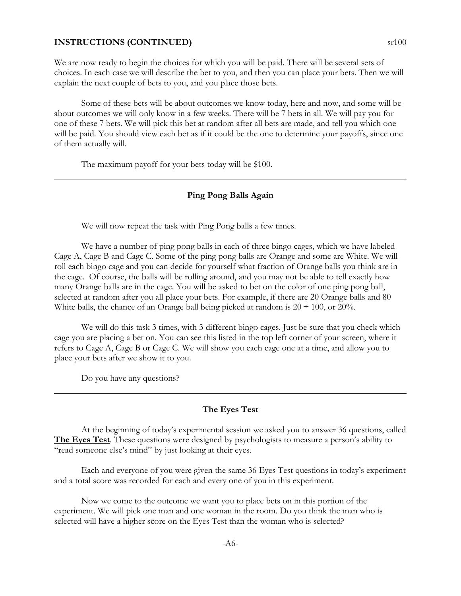#### **INSTRUCTIONS (CONTINUED)** sr100

We are now ready to begin the choices for which you will be paid. There will be several sets of choices. In each case we will describe the bet to you, and then you can place your bets. Then we will explain the next couple of bets to you, and you place those bets.

Some of these bets will be about outcomes we know today, here and now, and some will be about outcomes we will only know in a few weeks. There will be 7 bets in all. We will pay you for one of these 7 bets. We will pick this bet at random after all bets are made, and tell you which one will be paid. You should view each bet as if it could be the one to determine your payoffs, since one of them actually will.

The maximum payoff for your bets today will be \$100.

### **Ping Pong Balls Again**

We will now repeat the task with Ping Pong balls a few times.

We have a number of ping pong balls in each of three bingo cages, which we have labeled Cage A, Cage B and Cage C. Some of the ping pong balls are Orange and some are White. We will roll each bingo cage and you can decide for yourself what fraction of Orange balls you think are in the cage. Of course, the balls will be rolling around, and you may not be able to tell exactly how many Orange balls are in the cage. You will be asked to bet on the color of one ping pong ball, selected at random after you all place your bets. For example, if there are 20 Orange balls and 80 White balls, the chance of an Orange ball being picked at random is  $20 \div 100$ , or  $20\%$ .

We will do this task 3 times, with 3 different bingo cages. Just be sure that you check which cage you are placing a bet on. You can see this listed in the top left corner of your screen, where it refers to Cage A, Cage B or Cage C. We will show you each cage one at a time, and allow you to place your bets after we show it to you.

Do you have any questions?

# **The Eyes Test**

At the beginning of today's experimental session we asked you to answer 36 questions, called **The Eyes Test**. These questions were designed by psychologists to measure a person's ability to "read someone else's mind" by just looking at their eyes.

Each and everyone of you were given the same 36 Eyes Test questions in today's experiment and a total score was recorded for each and every one of you in this experiment.

Now we come to the outcome we want you to place bets on in this portion of the experiment. We will pick one man and one woman in the room. Do you think the man who is selected will have a higher score on the Eyes Test than the woman who is selected?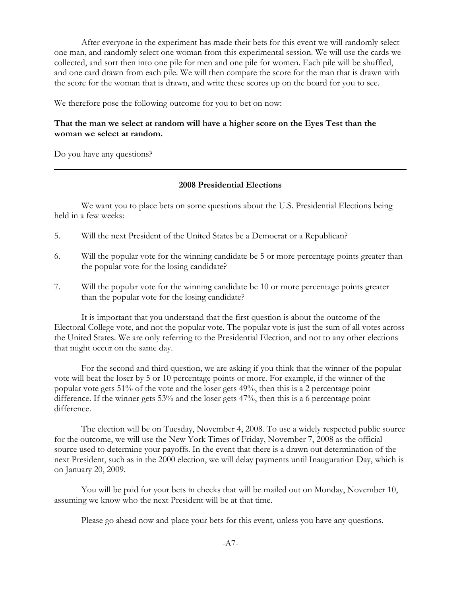After everyone in the experiment has made their bets for this event we will randomly select one man, and randomly select one woman from this experimental session. We will use the cards we collected, and sort then into one pile for men and one pile for women. Each pile will be shuffled, and one card drawn from each pile. We will then compare the score for the man that is drawn with the score for the woman that is drawn, and write these scores up on the board for you to see.

We therefore pose the following outcome for you to bet on now:

# **That the man we select at random will have a higher score on the Eyes Test than the woman we select at random.**

Do you have any questions?

#### **2008 Presidential Elections**

We want you to place bets on some questions about the U.S. Presidential Elections being held in a few weeks:

- 5. Will the next President of the United States be a Democrat or a Republican?
- 6. Will the popular vote for the winning candidate be 5 or more percentage points greater than the popular vote for the losing candidate?
- 7. Will the popular vote for the winning candidate be 10 or more percentage points greater than the popular vote for the losing candidate?

It is important that you understand that the first question is about the outcome of the Electoral College vote, and not the popular vote. The popular vote is just the sum of all votes across the United States. We are only referring to the Presidential Election, and not to any other elections that might occur on the same day.

For the second and third question, we are asking if you think that the winner of the popular vote will beat the loser by 5 or 10 percentage points or more. For example, if the winner of the popular vote gets 51% of the vote and the loser gets 49%, then this is a 2 percentage point difference. If the winner gets 53% and the loser gets 47%, then this is a 6 percentage point difference.

The election will be on Tuesday, November 4, 2008. To use a widely respected public source for the outcome, we will use the New York Times of Friday, November 7, 2008 as the official source used to determine your payoffs. In the event that there is a drawn out determination of the next President, such as in the 2000 election, we will delay payments until Inauguration Day, which is on January 20, 2009.

You will be paid for your bets in checks that will be mailed out on Monday, November 10, assuming we know who the next President will be at that time.

Please go ahead now and place your bets for this event, unless you have any questions.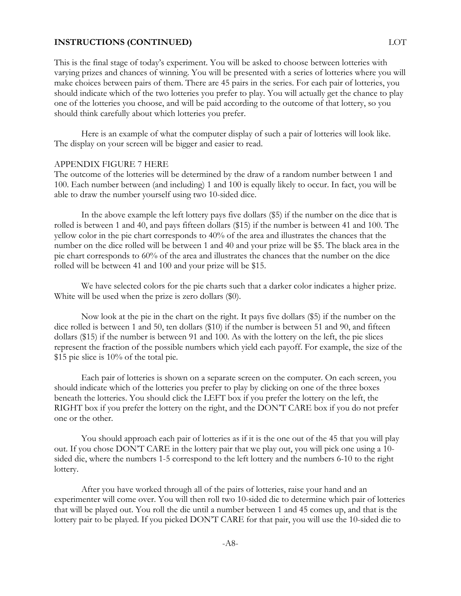### **INSTRUCTIONS (CONTINUED)** LOT

This is the final stage of today's experiment. You will be asked to choose between lotteries with varying prizes and chances of winning. You will be presented with a series of lotteries where you will make choices between pairs of them. There are 45 pairs in the series. For each pair of lotteries, you should indicate which of the two lotteries you prefer to play. You will actually get the chance to play one of the lotteries you choose, and will be paid according to the outcome of that lottery, so you should think carefully about which lotteries you prefer.

Here is an example of what the computer display of such a pair of lotteries will look like. The display on your screen will be bigger and easier to read.

#### APPENDIX FIGURE 7 HERE

The outcome of the lotteries will be determined by the draw of a random number between 1 and 100. Each number between (and including) 1 and 100 is equally likely to occur. In fact, you will be able to draw the number yourself using two 10-sided dice.

In the above example the left lottery pays five dollars (\$5) if the number on the dice that is rolled is between 1 and 40, and pays fifteen dollars (\$15) if the number is between 41 and 100. The yellow color in the pie chart corresponds to 40% of the area and illustrates the chances that the number on the dice rolled will be between 1 and 40 and your prize will be \$5. The black area in the pie chart corresponds to 60% of the area and illustrates the chances that the number on the dice rolled will be between 41 and 100 and your prize will be \$15.

We have selected colors for the pie charts such that a darker color indicates a higher prize. White will be used when the prize is zero dollars (\$0).

Now look at the pie in the chart on the right. It pays five dollars (\$5) if the number on the dice rolled is between 1 and 50, ten dollars (\$10) if the number is between 51 and 90, and fifteen dollars (\$15) if the number is between 91 and 100. As with the lottery on the left, the pie slices represent the fraction of the possible numbers which yield each payoff. For example, the size of the \$15 pie slice is 10% of the total pie.

Each pair of lotteries is shown on a separate screen on the computer. On each screen, you should indicate which of the lotteries you prefer to play by clicking on one of the three boxes beneath the lotteries. You should click the LEFT box if you prefer the lottery on the left, the RIGHT box if you prefer the lottery on the right, and the DON'T CARE box if you do not prefer one or the other.

You should approach each pair of lotteries as if it is the one out of the 45 that you will play out. If you chose DON'T CARE in the lottery pair that we play out, you will pick one using a 10 sided die, where the numbers 1-5 correspond to the left lottery and the numbers 6-10 to the right lottery.

After you have worked through all of the pairs of lotteries, raise your hand and an experimenter will come over. You will then roll two 10-sided die to determine which pair of lotteries that will be played out. You roll the die until a number between 1 and 45 comes up, and that is the lottery pair to be played. If you picked DON'T CARE for that pair, you will use the 10-sided die to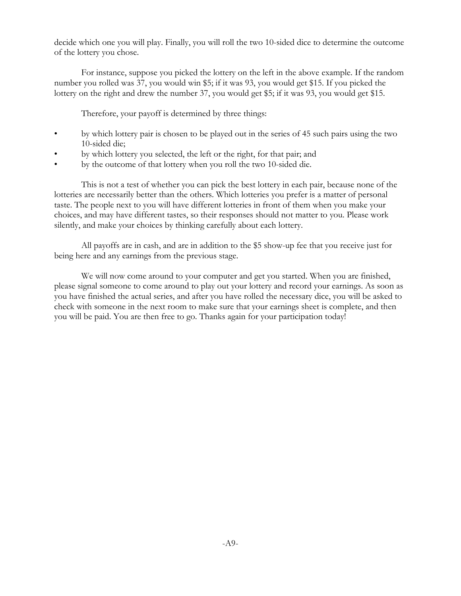decide which one you will play. Finally, you will roll the two 10-sided dice to determine the outcome of the lottery you chose.

For instance, suppose you picked the lottery on the left in the above example. If the random number you rolled was 37, you would win \$5; if it was 93, you would get \$15. If you picked the lottery on the right and drew the number 37, you would get \$5; if it was 93, you would get \$15.

Therefore, your payoff is determined by three things:

- by which lottery pair is chosen to be played out in the series of 45 such pairs using the two 10-sided die;
- by which lottery you selected, the left or the right, for that pair; and
- by the outcome of that lottery when you roll the two 10-sided die.

This is not a test of whether you can pick the best lottery in each pair, because none of the lotteries are necessarily better than the others. Which lotteries you prefer is a matter of personal taste. The people next to you will have different lotteries in front of them when you make your choices, and may have different tastes, so their responses should not matter to you. Please work silently, and make your choices by thinking carefully about each lottery.

All payoffs are in cash, and are in addition to the \$5 show-up fee that you receive just for being here and any earnings from the previous stage.

We will now come around to your computer and get you started. When you are finished, please signal someone to come around to play out your lottery and record your earnings. As soon as you have finished the actual series, and after you have rolled the necessary dice, you will be asked to check with someone in the next room to make sure that your earnings sheet is complete, and then you will be paid. You are then free to go. Thanks again for your participation today!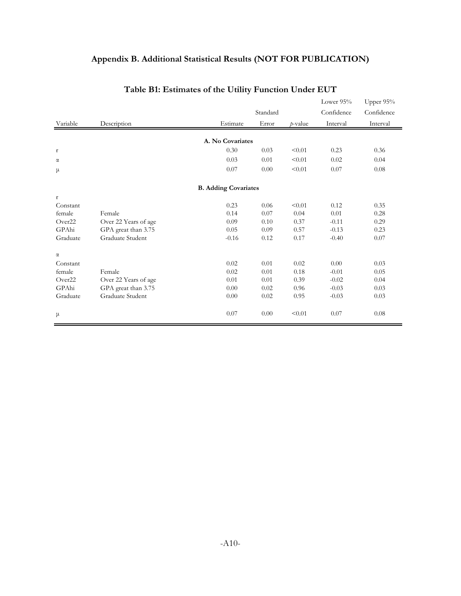# **Appendix B. Additional Statistical Results (NOT FOR PUBLICATION)**

|                    |                      |                             |          |         | Lower 95%  | Upper 95%  |
|--------------------|----------------------|-----------------------------|----------|---------|------------|------------|
|                    |                      |                             | Standard |         | Confidence | Confidence |
| Variable           | Description          | Estimate                    | Error    | p-value | Interval   | Interval   |
|                    |                      | A. No Covariates            |          |         |            |            |
| $\mathbf r$        |                      | 0.30                        | 0.03     | < 0.01  | 0.23       | 0.36       |
| $\alpha$           |                      | 0.03                        | 0.01     | < 0.01  | 0.02       | 0.04       |
| μ                  |                      | 0.07                        | 0.00     | < 0.01  | 0.07       | 0.08       |
|                    |                      | <b>B.</b> Adding Covariates |          |         |            |            |
| $\mathbf r$        |                      |                             |          |         |            |            |
| Constant           |                      | 0.23                        | 0.06     | < 0.01  | 0.12       | 0.35       |
| female             | Female               | 0.14                        | 0.07     | 0.04    | 0.01       | 0.28       |
| Over22             | Over 22 Years of age | 0.09                        | 0.10     | 0.37    | $-0.11$    | 0.29       |
| GPAhi              | GPA great than 3.75  | 0.05                        | 0.09     | 0.57    | $-0.13$    | 0.23       |
| Graduate           | Graduate Student     | $-0.16$                     | 0.12     | 0.17    | $-0.40$    | 0.07       |
| $\alpha$           |                      |                             |          |         |            |            |
| Constant           |                      | 0.02                        | 0.01     | 0.02    | 0.00       | 0.03       |
| female             | Female               | 0.02                        | 0.01     | 0.18    | $-0.01$    | 0.05       |
| Over <sub>22</sub> | Over 22 Years of age | 0.01                        | 0.01     | 0.39    | $-0.02$    | 0.04       |
| GPAhi              | GPA great than 3.75  | 0.00                        | 0.02     | 0.96    | $-0.03$    | 0.03       |
| Graduate           | Graduate Student     | 0.00                        | 0.02     | 0.95    | $-0.03$    | 0.03       |
| μ                  |                      | 0.07                        | 0.00     | < 0.01  | 0.07       | 0.08       |

# **Table B1: Estimates of the Utility Function Under EUT**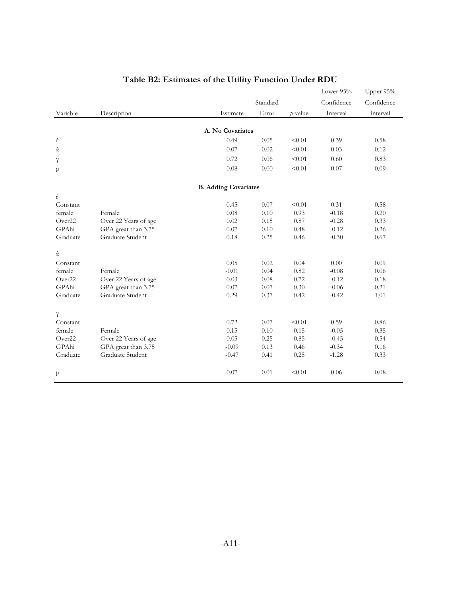|          |                      |                             |          |            | Lower 95%  | Upper 95%  |
|----------|----------------------|-----------------------------|----------|------------|------------|------------|
|          |                      |                             | Standard |            | Confidence | Confidence |
| Variable | Description          | Estimate                    | Error    | $p$ -value | Interval   | Interval   |
|          |                      |                             |          |            |            |            |
|          |                      | A. No Covariates            |          |            |            |            |
| ŕ        |                      | 0.49                        | 0.05     | < 0.01     | 0.39       | 0.58       |
| ά        |                      | 0.07                        | 0.02     | < 0.01     | 0.03       | 0.12       |
| γ        |                      | 0.72                        | 0.06     | < 0.01     | 0.60       | 0.83       |
| μ        |                      | 0.08                        | 0.00     | < 0.01     | 0.07       | 0.09       |
|          |                      |                             |          |            |            |            |
| ŕ        |                      | <b>B.</b> Adding Covariates |          |            |            |            |
| Constant |                      | 0.45                        | 0.07     | < 0.01     | 0.31       | 0.58       |
| female   | Female               | 0.08                        | 0.10     | 0.93       | $-0.18$    | 0.20       |
| Over22   | Over 22 Years of age | 0.02                        | 0.15     | 0.87       | $-0.28$    | 0.33       |
| GPAhi    | GPA great than 3.75  | 0.07                        | 0.10     | 0.48       | $-0.12$    | 0.26       |
| Graduate | Graduate Student     | $0.18\,$                    | 0.25     | 0.46       | $-0.30$    | 0.67       |
| ά        |                      |                             |          |            |            |            |
| Constant |                      | 0.05                        | 0.02     | 0.04       | 0.00       | 0.09       |
| female   | Female               | $-0.01$                     | 0.04     | 0.82       | $-0.08$    | 0.06       |
| Over22   | Over 22 Years of age | 0.03                        | $0.08\,$ | 0.72       | $-0.12$    | 0.18       |
| GPAhi    | GPA great than 3.75  | 0.07                        | 0.07     | 0.30       | $-0.06$    | 0.21       |
| Graduate | Graduate Student     | 0.29                        | 0.37     | 0.42       | $-0.42$    | 1,01       |
| $\gamma$ |                      |                             |          |            |            |            |
| Constant |                      | 0.72                        | 0.07     | < 0.01     | 0.59       | 0.86       |
| female   | Female               | 0.15                        | $0.10\,$ | 0.15       | $-0.05$    | 0.35       |
| Over22   | Over 22 Years of age | 0.05                        | 0.25     | 0.85       | $-0.45$    | 0.54       |
| GPAhi    | GPA great than 3.75  | $-0.09$                     | 0.13     | 0.46       | $-0.34$    | 0.16       |
| Graduate | Graduate Student     | $-0.47$                     | 0.41     | 0.25       | $-1,28$    | 0.33       |
| μ        |                      | 0.07                        | 0.01     | < 0.01     | 0.06       | 0.08       |
|          |                      |                             |          |            |            |            |

# **Table B2: Estimates of the Utility Function Under RDU**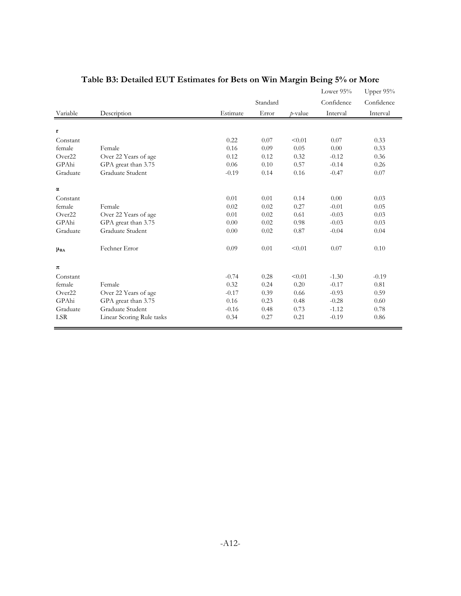|             |                           |          |          |         | Lower 95%  | Upper 95%  |
|-------------|---------------------------|----------|----------|---------|------------|------------|
|             |                           |          | Standard |         | Confidence | Confidence |
| Variable    | Description               | Estimate | Error    | p-value | Interval   | Interval   |
| $\mathbf r$ |                           |          |          |         |            |            |
| Constant    |                           | 0.22     | 0.07     | < 0.01  | 0.07       | 0.33       |
| female      | Female                    | 0.16     | 0.09     | 0.05    | 0.00       | 0.33       |
| Over22      | Over 22 Years of age      | 0.12     | 0.12     | 0.32    | $-0.12$    | 0.36       |
| GPAhi       | GPA great than 3.75       | 0.06     | 0.10     | 0.57    | $-0.14$    | 0.26       |
| Graduate    | Graduate Student          | $-0.19$  | 0.14     | 0.16    | $-0.47$    | 0.07       |
| $\alpha$    |                           |          |          |         |            |            |
| Constant    |                           | 0.01     | 0.01     | 0.14    | 0.00       | 0.03       |
| female      | Female                    | 0.02     | 0.02     | 0.27    | $-0.01$    | 0.05       |
| Over22      | Over 22 Years of age      | 0.01     | 0.02     | 0.61    | $-0.03$    | 0.03       |
| GPAhi       | GPA great than 3.75       | 0.00     | 0.02     | 0.98    | $-0.03$    | 0.03       |
| Graduate    | Graduate Student          | 0.00     | 0.02     | 0.87    | $-0.04$    | 0.04       |
| $\mu_{RA}$  | Fechner Error             | 0.09     | 0.01     | < 0.01  | 0.07       | 0.10       |
| $\pi$       |                           |          |          |         |            |            |
| Constant    |                           | $-0.74$  | 0.28     | < 0.01  | $-1.30$    | $-0.19$    |
| female      | Female                    | 0.32     | 0.24     | 0.20    | $-0.17$    | 0.81       |
| Over22      | Over 22 Years of age      | $-0.17$  | 0.39     | 0.66    | $-0.93$    | 0.59       |
| GPAhi       | GPA great than 3.75       | 0.16     | 0.23     | 0.48    | $-0.28$    | 0.60       |
| Graduate    | Graduate Student          | $-0.16$  | 0.48     | 0.73    | $-1.12$    | 0.78       |
| <b>LSR</b>  | Linear Scoring Rule tasks | 0.34     | 0.27     | 0.21    | $-0.19$    | 0.86       |

# **Table B3: Detailed EUT Estimates for Bets on Win Margin Being 5% or More**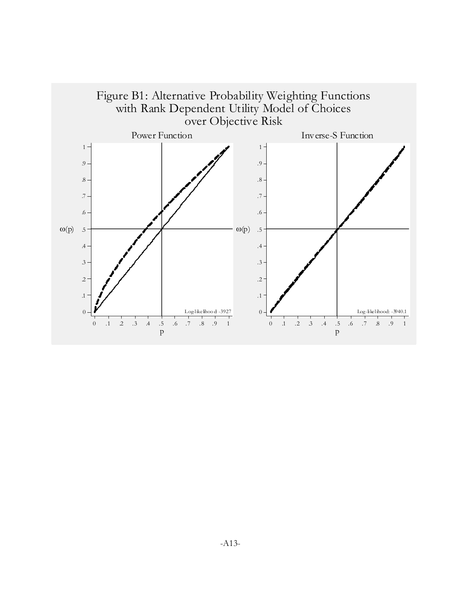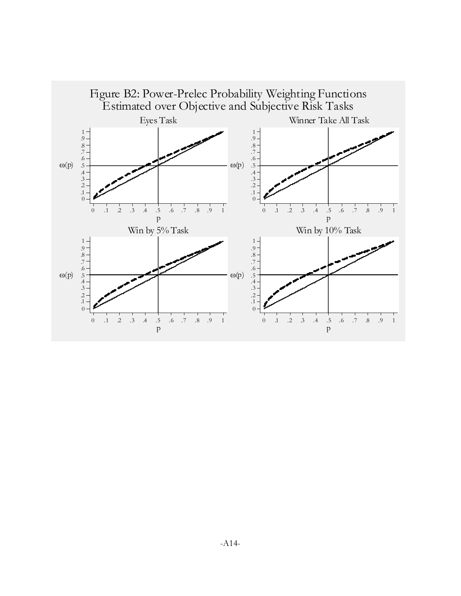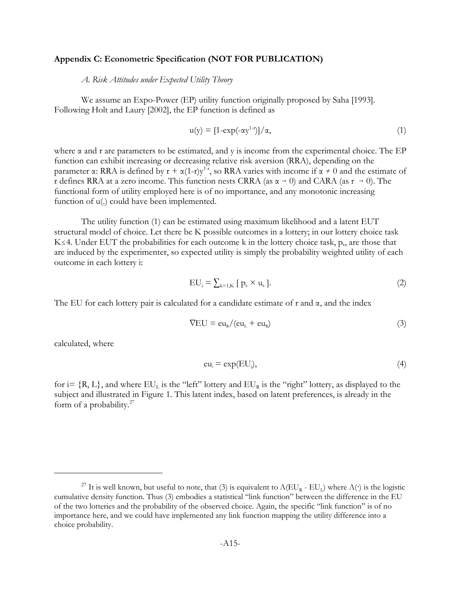#### **Appendix C: Econometric Specification (NOT FOR PUBLICATION)**

*A. Risk Attitudes under Expected Utility Theory*

We assume an Expo-Power (EP) utility function originally proposed by Saha [1993]. Following Holt and Laury [2002], the EP function is defined as

$$
u(y) = [1 - exp(-\alpha y^{1-r})]/\alpha,
$$
\n(1)

where  $\alpha$  and r are parameters to be estimated, and y is income from the experimental choice. The EP function can exhibit increasing or decreasing relative risk aversion (RRA), depending on the parameter  $\alpha$ : RRA is defined by  $r + \alpha(1-r)y^{1-r}$ , so RRA varies with income if  $\alpha \neq 0$  and the estimate of r defines RRA at a zero income. This function nests CRRA (as  $\alpha \rightarrow 0$ ) and CARA (as  $r \rightarrow 0$ ). The functional form of utility employed here is of no importance, and any monotonic increasing function of  $u(.)$  could have been implemented.

The utility function (1) can be estimated using maximum likelihood and a latent EUT structural model of choice. Let there be K possible outcomes in a lottery; in our lottery choice task K 
ightarrow EUT the probabilities for each outcome k in the lottery choice task,  $p_k$ , are those that are induced by the experimenter, so expected utility is simply the probability weighted utility of each outcome in each lottery i:

$$
EU_i = \sum_{k=1,K} \left[ \ p_k \times u_k \right]. \tag{2}
$$

The EU for each lottery pair is calculated for a candidate estimate of r and  $\alpha$ , and the index

$$
\nabla \mathbf{E} \mathbf{U} = \mathbf{e} \mathbf{u}_{R} / (\mathbf{e} \mathbf{u}_{L} + \mathbf{e} \mathbf{u}_{R}) \tag{3}
$$

calculated, where

$$
eu_i = exp(EU_i), \qquad (4)
$$

for  $i = \{R, L\}$ , and where  $EU_L$  is the "left" lottery and  $EU_R$  is the "right" lottery, as displayed to the subject and illustrated in Figure 1. This latent index, based on latent preferences, is already in the form of a probability. $27$ 

<sup>&</sup>lt;sup>27</sup> It is well known, but useful to note, that (3) is equivalent to  $\Lambda(EU_R - EU_I)$  where  $\Lambda(\cdot)$  is the logistic cumulative density function. Thus (3) embodies a statistical "link function" between the difference in the EU of the two lotteries and the probability of the observed choice. Again, the specific "link function" is of no importance here, and we could have implemented any link function mapping the utility difference into a choice probability.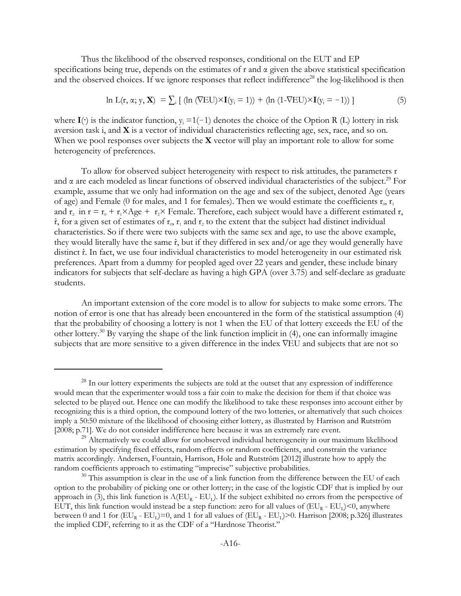Thus the likelihood of the observed responses, conditional on the EUT and EP specifications being true, depends on the estimates of r and  $\alpha$  given the above statistical specification and the observed choices. If we ignore responses that reflect indifference<sup>28</sup> the log-likelihood is then

$$
\ln L(\mathbf{r}, \alpha; \mathbf{y}, \mathbf{X}) = \sum_{i} \left[ (\ln (\nabla EU) \times \mathbf{I}(\mathbf{y}_{i} = 1)) + (\ln (1 - \nabla EU) \times \mathbf{I}(\mathbf{y}_{i} = -1)) \right] \tag{5}
$$

where  $I(\cdot)$  is the indicator function,  $y_i = 1(-1)$  denotes the choice of the Option R (L) lottery in risk aversion task i, and **X** is a vector of individual characteristics reflecting age, sex, race, and so on. When we pool responses over subjects the **X** vector will play an important role to allow for some heterogeneity of preferences.

To allow for observed subject heterogeneity with respect to risk attitudes, the parameters r and  $\alpha$  are each modeled as linear functions of observed individual characteristics of the subject.<sup>29</sup> For example, assume that we only had information on the age and sex of the subject, denoted Age (years of age) and Female (0 for males, and 1 for females). Then we would estimate the coefficients  $r_0$ ,  $r_1$ and r<sub>2</sub> in r = r<sub>0</sub> + r<sub>1</sub>×Age + r<sub>2</sub>× Female. Therefore, each subject would have a different estimated r,  $\hat{r}$ , for a given set of estimates of  $r_0$ ,  $r_1$  and  $r_2$  to the extent that the subject had distinct individual characteristics. So if there were two subjects with the same sex and age, to use the above example, they would literally have the same  $\hat{\mathbf{r}}$ , but if they differed in sex and/or age they would generally have distinct  $\hat{r}$ . In fact, we use four individual characteristics to model heterogeneity in our estimated risk preferences. Apart from a dummy for peopled aged over 22 years and gender, these include binary indicators for subjects that self-declare as having a high GPA (over 3.75) and self-declare as graduate students.

An important extension of the core model is to allow for subjects to make some errors. The notion of error is one that has already been encountered in the form of the statistical assumption (4) that the probability of choosing a lottery is not 1 when the EU of that lottery exceeds the EU of the other lottery.30 By varying the shape of the link function implicit in (4), one can informally imagine subjects that are more sensitive to a given difference in the index VEU and subjects that are not so

<sup>&</sup>lt;sup>28</sup> In our lottery experiments the subjects are told at the outset that any expression of indifference would mean that the experimenter would toss a fair coin to make the decision for them if that choice was selected to be played out. Hence one can modify the likelihood to take these responses into account either by recognizing this is a third option, the compound lottery of the two lotteries, or alternatively that such choices imply a 50:50 mixture of the likelihood of choosing either lottery, as illustrated by Harrison and Rutström [2008; p.71]. We do not consider indifference here because it was an extremely rare event.

 $^{29}$  Alternatively we could allow for unobserved individual heterogeneity in our maximum likelihood estimation by specifying fixed effects, random effects or random coefficients, and constrain the variance matrix accordingly. Andersen, Fountain, Harrison, Hole and Rutström [2012] illustrate how to apply the random coefficients approach to estimating "imprecise" subjective probabilities.

 $30$  This assumption is clear in the use of a link function from the difference between the EU of each option to the probability of picking one or other lottery; in the case of the logistic CDF that is implied by our approach in (3), this link function is  $\Lambda(EU_R - EU_I)$ . If the subject exhibited no errors from the perspective of EUT, this link function would instead be a step function: zero for all values of  $(EU_R - EU_I) < 0$ , anywhere between 0 and 1 for  $(EU_R - EU_I)=0$ , and 1 for all values of  $(EU_R - EU_I)>0$ . Harrison [2008; p.326] illustrates the implied CDF, referring to it as the CDF of a "Hardnose Theorist."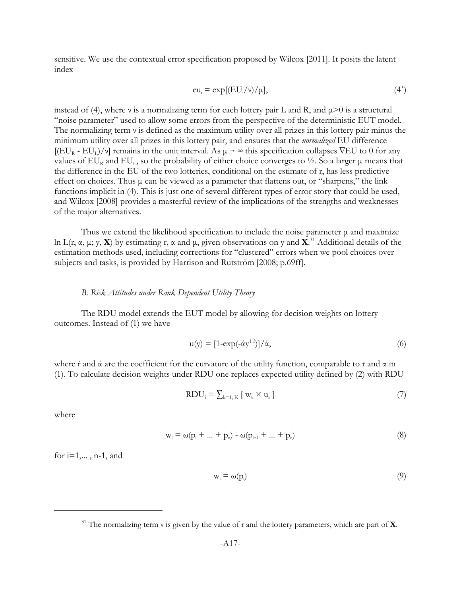sensitive. We use the contextual error specification proposed by Wilcox [2011]. It posits the latent index

$$
eu_i = \exp[(EU_i/v)/\mu],\tag{4'}
$$

instead of (4), where v is a normalizing term for each lottery pair L and R, and  $\mu$  >0 is a structural "noise parameter" used to allow some errors from the perspective of the deterministic EUT model. The normalizing term  $\nu$  is defined as the maximum utility over all prizes in this lottery pair minus the minimum utility over all prizes in this lottery pair, and ensures that the *normalized* EU difference  $[(EU_R - EU_L)/v]$  remains in the unit interval. As  $\mu \to \infty$  this specification collapses VEU to 0 for any values of  $EU_R$  and  $EU_L$ , so the probability of either choice converges to  $\frac{1}{2}$ . So a larger  $\mu$  means that the difference in the EU of the two lotteries, conditional on the estimate of r, has less predictive effect on choices. Thus  $\mu$  can be viewed as a parameter that flattens out, or "sharpens," the link functions implicit in (4). This is just one of several different types of error story that could be used, and Wilcox [2008] provides a masterful review of the implications of the strengths and weaknesses of the major alternatives.

Thus we extend the likelihood specification to include the noise parameter  $\mu$  and maximize ln L(r, α, μ; y, **X**) by estimating r, α and μ, given observations on y and **X**. 31 Additional details of the estimation methods used, including corrections for "clustered" errors when we pool choices over subjects and tasks, is provided by Harrison and Rutström [2008; p.69ff].

#### *B. Risk Attitudes under Rank Dependent Utility Theory*

The RDU model extends the EUT model by allowing for decision weights on lottery outcomes. Instead of (1) we have

$$
u(y) = [1 - \exp(-\dot{\alpha}y^{1-\dot{r}})]/\dot{\alpha},\tag{6}
$$

where *f* and  $\dot{\alpha}$  are the coefficient for the curvature of the utility function, comparable to r and  $\alpha$  in (1). To calculate decision weights under RDU one replaces expected utility defined by (2) with RDU

$$
RDU_i = \sum_{k=1, K} [w_k \times u_k]
$$
 (7)

where

$$
w_i = \omega(p_i + ... + p_n) - \omega(p_{i+1} + ... + p_n)
$$
\n(8)

for  $i=1,\ldots, n-1$ , and

$$
w_i = \omega(p_i) \tag{9}
$$

<sup>31</sup> The normalizing term ν is given by the value of r and the lottery parameters, which are part of **X**.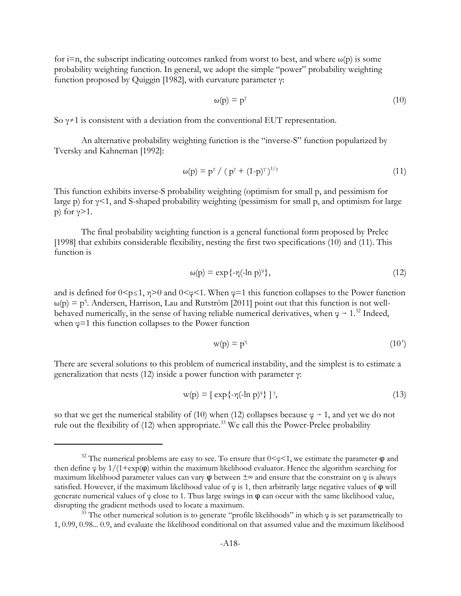for i=n, the subscript indicating outcomes ranked from worst to best, and where  $\omega(p)$  is some probability weighting function. In general, we adopt the simple "power" probability weighting function proposed by Quiggin [1982], with curvature parameter γ:

$$
\omega(p) = p^{\gamma} \tag{10}
$$

So  $\gamma \neq 1$  is consistent with a deviation from the conventional EUT representation.

An alternative probability weighting function is the "inverse-S" function popularized by Tversky and Kahneman [1992]:

$$
\omega(p) = p^{\gamma} / (p^{\gamma} + (1-p)^{\gamma})^{1/\gamma}
$$
\n(11)

This function exhibits inverse-S probability weighting (optimism for small p, and pessimism for large p) for γ<1, and S-shaped probability weighting (pessimism for small p, and optimism for large p) for  $\gamma > 1$ .

The final probability weighting function is a general functional form proposed by Prelec [1998] that exhibits considerable flexibility, nesting the first two specifications (10) and (11). This function is

$$
\omega(p) = \exp\{-\eta(-\ln p)^{\varphi}\},\tag{12}
$$

and is defined for  $0 \le p \le 1$ ,  $\eta \ge 0$  and  $0 \le p \le 1$ . When  $\varphi = 1$  this function collapses to the Power function  $\omega(p) = p^{\eta}$ . Andersen, Harrison, Lau and Rutström [2011] point out that this function is not wellbehaved numerically, in the sense of having reliable numerical derivatives, when  $\varphi \to 1^{32}$  Indeed, when  $\varphi$ =1 this function collapses to the Power function

$$
w(p) = p^{\eta} \tag{10'}
$$

There are several solutions to this problem of numerical instability, and the simplest is to estimate a generalization that nests (12) inside a power function with parameter γ:

$$
w(p) = [\exp\{-\eta(-\ln p)^{\varphi}\}]^{\gamma},\tag{13}
$$

so that we get the numerical stability of (10) when (12) collapses because  $\varphi \rightarrow 1$ , and yet we do not rule out the flexibility of (12) when appropriate.<sup>33</sup> We call this the Power-Prelec probability

<sup>&</sup>lt;sup>32</sup> The numerical problems are easy to see. To ensure that  $0 \lt \varphi \lt 1$ , we estimate the parameter  $\varphi$  and then define  $\varphi$  by  $1/(1+\exp(\varphi))$  within the maximum likelihood evaluator. Hence the algorithm searching for maximum likelihood parameter values can vary  $\varphi$  between  $\pm \infty$  and ensure that the constraint on  $\varphi$  is always satisfied. However, if the maximum likelihood value of  $\varphi$  is 1, then arbitrarily large negative values of  $\varphi$  will generate numerical values of  $\varphi$  close to 1. Thus large swings in  $\varphi$  can occur with the same likelihood value, disrupting the gradient methods used to locate a maximum.

 $\frac{33}{33}$  The other numerical solution is to generate "profile likelihoods" in which  $\varphi$  is set parametrically to 1, 0.99, 0.98... 0.9, and evaluate the likelihood conditional on that assumed value and the maximum likelihood